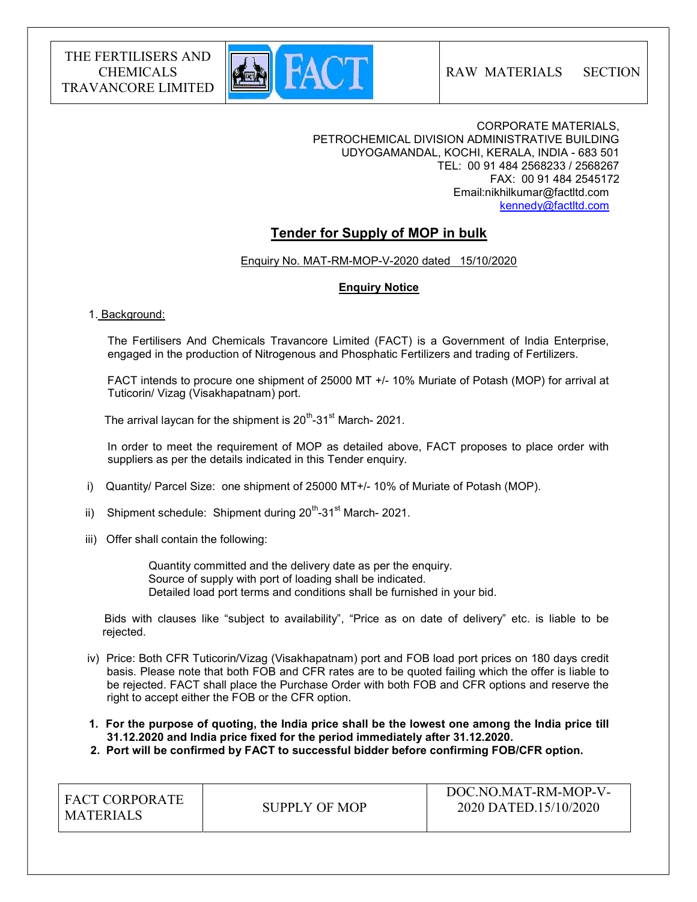

RAW MATERIALS SECTION

CORPORATE MATERIALS, PETROCHEMICAL DIVISION ADMINISTRATIVE BUILDING UDYOGAMANDAL, KOCHI, KERALA, INDIA - 683 501 TEL: 00 91 484 2568233 / 2568267 FAX: 00 91 484 2545172 Email:nikhilkumar@factltd.com kennedy@factltd.com

# Tender for Supply of MOP in bulk

Enquiry No. MAT-RM-MOP-V-2020 dated 15/10/2020

# Enquiry Notice

## 1. Background:

 The Fertilisers And Chemicals Travancore Limited (FACT) is a Government of India Enterprise, engaged in the production of Nitrogenous and Phosphatic Fertilizers and trading of Fertilizers.

 FACT intends to procure one shipment of 25000 MT +/- 10% Muriate of Potash (MOP) for arrival at Tuticorin/ Vizag (Visakhapatnam) port.

The arrival laycan for the shipment is  $20^{th}$ -31<sup>st</sup> March- 2021.

 In order to meet the requirement of MOP as detailed above, FACT proposes to place order with suppliers as per the details indicated in this Tender enquiry.

- i) Quantity/ Parcel Size: one shipment of 25000 MT+/- 10% of Muriate of Potash (MOP).
- ii) Shipment schedule: Shipment during  $20^{th}$ -31<sup>st</sup> March- 2021.
- iii) Offer shall contain the following:

 Quantity committed and the delivery date as per the enquiry. Source of supply with port of loading shall be indicated. Detailed load port terms and conditions shall be furnished in your bid.

 Bids with clauses like "subject to availability", "Price as on date of delivery" etc. is liable to be rejected.

 iv) Price: Both CFR Tuticorin/Vizag (Visakhapatnam) port and FOB load port prices on 180 days credit basis. Please note that both FOB and CFR rates are to be quoted failing which the offer is liable to be rejected. FACT shall place the Purchase Order with both FOB and CFR options and reserve the right to accept either the FOB or the CFR option.

 1. For the purpose of quoting, the India price shall be the lowest one among the India price till 31.12.2020 and India price fixed for the period immediately after 31.12.2020.

2. Port will be confirmed by FACT to successful bidder before confirming FOB/CFR option.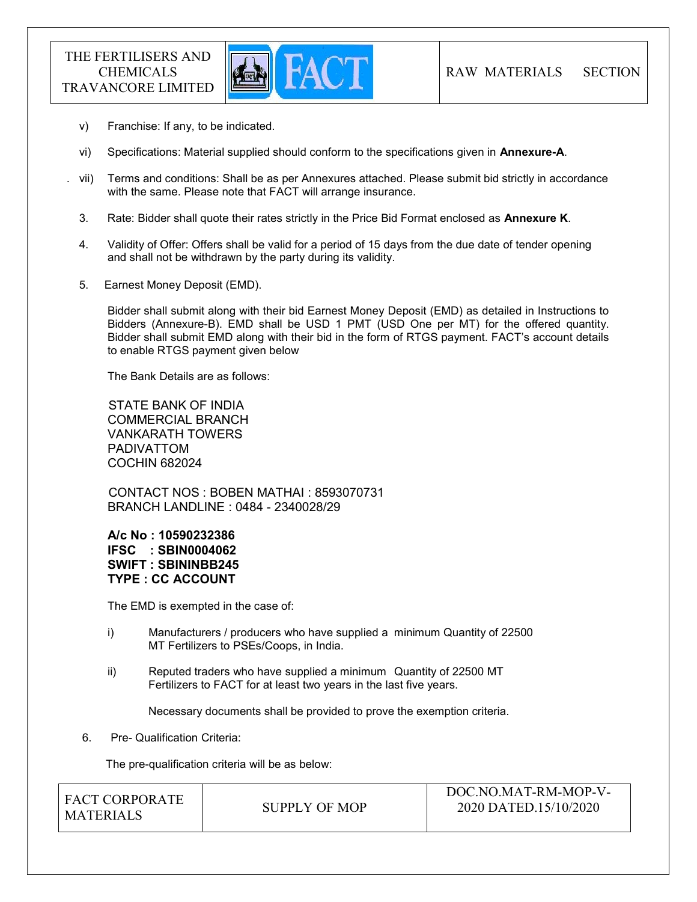

- v) Franchise: If any, to be indicated.
- vi) Specifications: Material supplied should conform to the specifications given in Annexure-A.
- . vii) Terms and conditions: Shall be as per Annexures attached. Please submit bid strictly in accordance with the same. Please note that FACT will arrange insurance.
- 3. Rate: Bidder shall quote their rates strictly in the Price Bid Format enclosed as Annexure K.
- 4. Validity of Offer: Offers shall be valid for a period of 15 days from the due date of tender opening and shall not be withdrawn by the party during its validity.
- 5. Earnest Money Deposit (EMD).

Bidder shall submit along with their bid Earnest Money Deposit (EMD) as detailed in Instructions to Bidders (Annexure-B). EMD shall be USD 1 PMT (USD One per MT) for the offered quantity. Bidder shall submit EMD along with their bid in the form of RTGS payment. FACT's account details to enable RTGS payment given below

The Bank Details are as follows:

 STATE BANK OF INDIA COMMERCIAL BRANCH VANKARATH TOWERS PADIVATTOM COCHIN 682024

 CONTACT NOS : BOBEN MATHAI : 8593070731 BRANCH LANDLINE : 0484 - 2340028/29

A/c No : 10590232386 IFSC : SBIN0004062 SWIFT : SBININBB245 TYPE : CC ACCOUNT

The EMD is exempted in the case of:

- i) Manufacturers / producers who have supplied a minimum Quantity of 22500 MT Fertilizers to PSEs/Coops, in India.
- ii) Reputed traders who have supplied a minimum Quantity of 22500 MT Fertilizers to FACT for at least two years in the last five years.

Necessary documents shall be provided to prove the exemption criteria.

6. Pre- Qualification Criteria:

The pre-qualification criteria will be as below:

| I FACT CORPORATE<br>MATERIALS | SUPPLY OF MOP | DOC.NO.MAT-RM-MOP-V-<br>2020 DATED.15/10/2020 |
|-------------------------------|---------------|-----------------------------------------------|
|                               |               |                                               |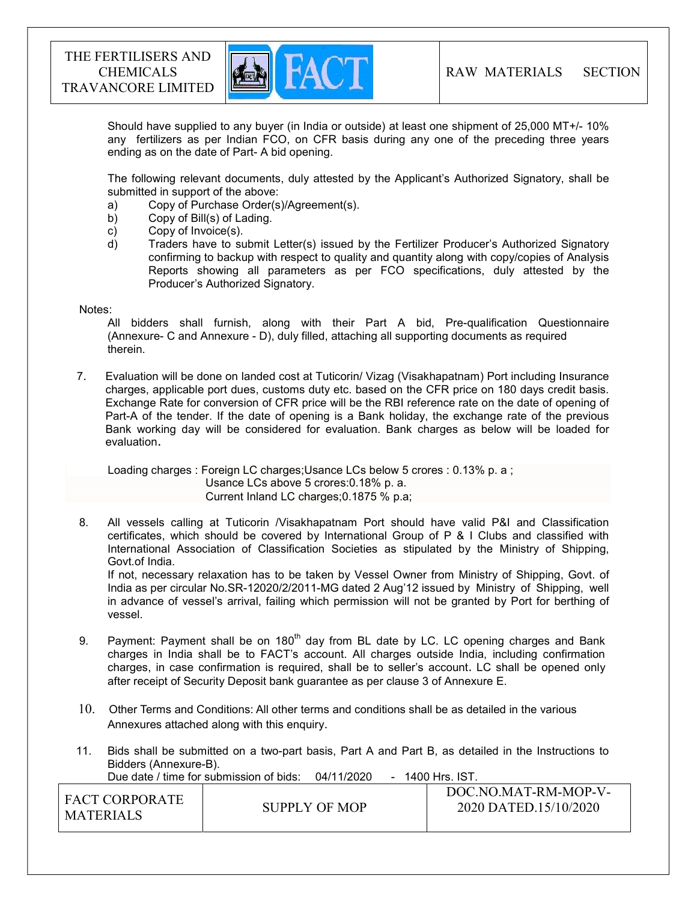

Should have supplied to any buyer (in India or outside) at least one shipment of 25,000 MT+/- 10% any fertilizers as per Indian FCO, on CFR basis during any one of the preceding three years ending as on the date of Part- A bid opening.

The following relevant documents, duly attested by the Applicant's Authorized Signatory, shall be submitted in support of the above:

- a) Copy of Purchase Order(s)/Agreement(s).
- b) Copy of Bill(s) of Lading.
- c) Copy of Invoice(s).
- d) Traders have to submit Letter(s) issued by the Fertilizer Producer's Authorized Signatory confirming to backup with respect to quality and quantity along with copy/copies of Analysis Reports showing all parameters as per FCO specifications, duly attested by the Producer's Authorized Signatory.

#### Notes:

 All bidders shall furnish, along with their Part A bid, Pre-qualification Questionnaire (Annexure- C and Annexure - D), duly filled, attaching all supporting documents as required therein.

7. Evaluation will be done on landed cost at Tuticorin/ Vizag (Visakhapatnam) Port including Insurance charges, applicable port dues, customs duty etc. based on the CFR price on 180 days credit basis. Exchange Rate for conversion of CFR price will be the RBI reference rate on the date of opening of Part-A of the tender. If the date of opening is a Bank holiday, the exchange rate of the previous Bank working day will be considered for evaluation. Bank charges as below will be loaded for evaluation.

 Loading charges : Foreign LC charges;Usance LCs below 5 crores : 0.13% p. a ; Usance LCs above 5 crores:0.18% p. a. Current Inland LC charges;0.1875 % p.a;

 8. All vessels calling at Tuticorin /Visakhapatnam Port should have valid P&I and Classification certificates, which should be covered by International Group of P & I Clubs and classified with International Association of Classification Societies as stipulated by the Ministry of Shipping, Govt.of India.

 If not, necessary relaxation has to be taken by Vessel Owner from Ministry of Shipping, Govt. of India as per circular No.SR-12020/2/2011-MG dated 2 Aug'12 issued by Ministry of Shipping, well in advance of vessel's arrival, failing which permission will not be granted by Port for berthing of vessel.

- 9. Payment: Payment shall be on  $180<sup>th</sup>$  day from BL date by LC. LC opening charges and Bank charges in India shall be to FACT's account. All charges outside India, including confirmation charges, in case confirmation is required, shall be to seller's account. LC shall be opened only after receipt of Security Deposit bank guarantee as per clause 3 of Annexure E.
- 10. Other Terms and Conditions: All other terms and conditions shall be as detailed in the various Annexures attached along with this enquiry.
- 11. Bids shall be submitted on a two-part basis, Part A and Part B, as detailed in the Instructions to Bidders (Annexure-B).

Due date / time for submission of bids: 04/11/2020 - 1400 Hrs. IST.

| <sup>1</sup> FACT CORPORATE<br><b>MATERIALS</b> | SUPPLY OF MOP | DOC.NO.MAT-RM-MOP-V-<br>2020 DATED.15/10/2020 |
|-------------------------------------------------|---------------|-----------------------------------------------|
|                                                 |               |                                               |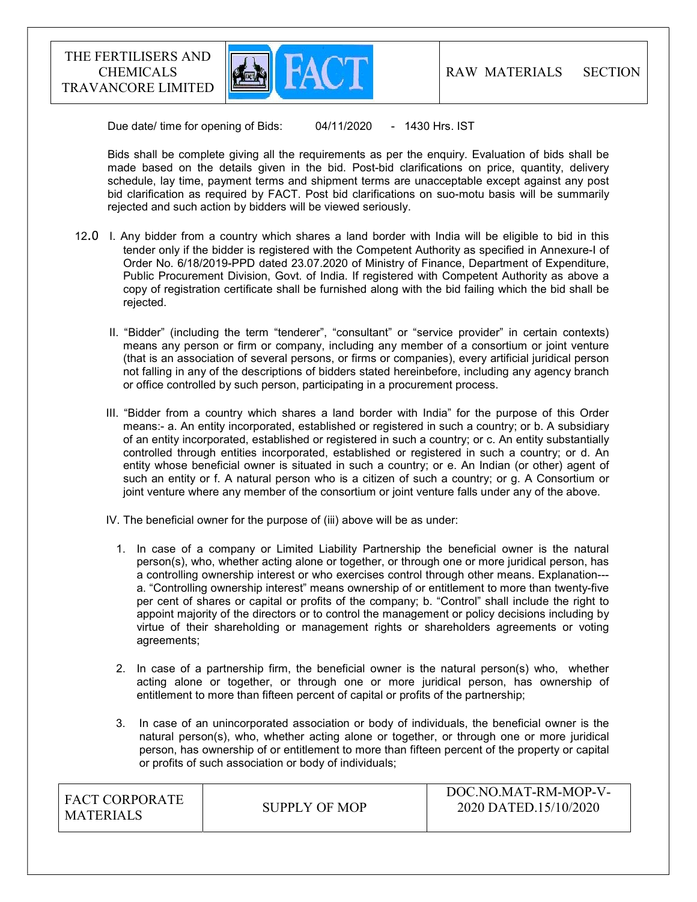

Due date/ time for opening of Bids: 04/11/2020 - 1430 Hrs. IST

 Bids shall be complete giving all the requirements as per the enquiry. Evaluation of bids shall be made based on the details given in the bid. Post-bid clarifications on price, quantity, delivery schedule, lay time, payment terms and shipment terms are unacceptable except against any post bid clarification as required by FACT. Post bid clarifications on suo-motu basis will be summarily rejected and such action by bidders will be viewed seriously.

- 12.0 I. Any bidder from a country which shares a land border with India will be eligible to bid in this tender only if the bidder is registered with the Competent Authority as specified in Annexure-I of Order No. 6/18/2019-PPD dated 23.07.2020 of Ministry of Finance, Department of Expenditure, Public Procurement Division, Govt. of India. If registered with Competent Authority as above a copy of registration certificate shall be furnished along with the bid failing which the bid shall be rejected.
	- II. "Bidder" (including the term "tenderer", "consultant" or "service provider" in certain contexts) means any person or firm or company, including any member of a consortium or joint venture (that is an association of several persons, or firms or companies), every artificial juridical person not falling in any of the descriptions of bidders stated hereinbefore, including any agency branch or office controlled by such person, participating in a procurement process.
	- III. "Bidder from a country which shares a land border with India" for the purpose of this Order means:- a. An entity incorporated, established or registered in such a country; or b. A subsidiary of an entity incorporated, established or registered in such a country; or c. An entity substantially controlled through entities incorporated, established or registered in such a country; or d. An entity whose beneficial owner is situated in such a country; or e. An Indian (or other) agent of such an entity or f. A natural person who is a citizen of such a country; or g. A Consortium or joint venture where any member of the consortium or joint venture falls under any of the above.
	- IV. The beneficial owner for the purpose of (iii) above will be as under:
		- 1. In case of a company or Limited Liability Partnership the beneficial owner is the natural person(s), who, whether acting alone or together, or through one or more juridical person, has a controlling ownership interest or who exercises control through other means. Explanation-- a. "Controlling ownership interest" means ownership of or entitlement to more than twenty-five per cent of shares or capital or profits of the company; b. "Control" shall include the right to appoint majority of the directors or to control the management or policy decisions including by virtue of their shareholding or management rights or shareholders agreements or voting agreements;
		- 2. In case of a partnership firm, the beneficial owner is the natural person(s) who, whether acting alone or together, or through one or more juridical person, has ownership of entitlement to more than fifteen percent of capital or profits of the partnership;
		- 3. In case of an unincorporated association or body of individuals, the beneficial owner is the natural person(s), who, whether acting alone or together, or through one or more juridical person, has ownership of or entitlement to more than fifteen percent of the property or capital or profits of such association or body of individuals;

| I FACT CORPORATE<br>MATERIALS | SUPPLY OF MOP | DOC.NO.MAT-RM-MOP-V-<br>2020 DATED.15/10/2020 |
|-------------------------------|---------------|-----------------------------------------------|
|-------------------------------|---------------|-----------------------------------------------|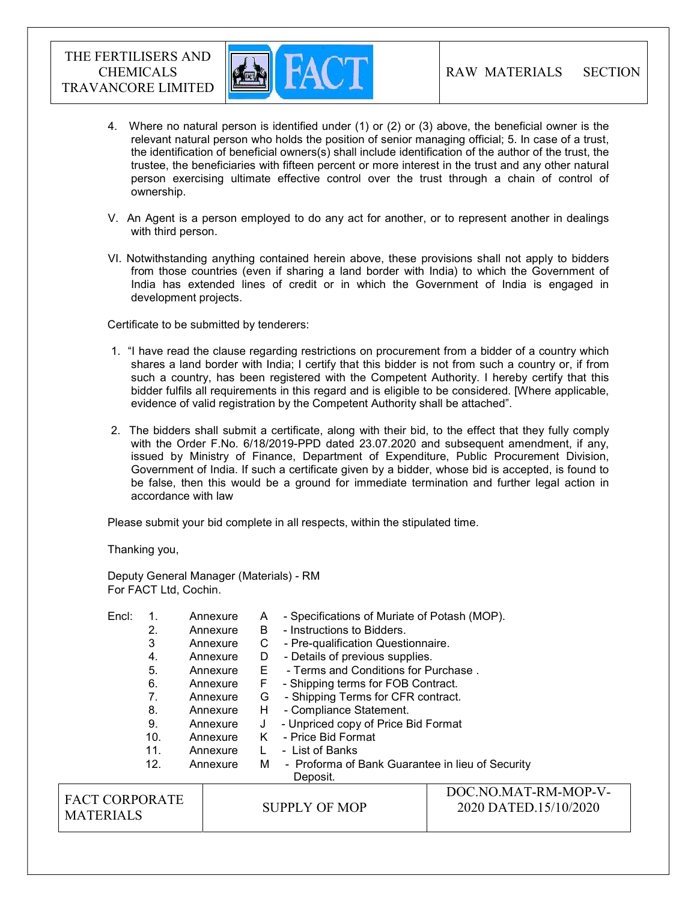

- 4. Where no natural person is identified under (1) or (2) or (3) above, the beneficial owner is the relevant natural person who holds the position of senior managing official; 5. In case of a trust, the identification of beneficial owners(s) shall include identification of the author of the trust, the trustee, the beneficiaries with fifteen percent or more interest in the trust and any other natural person exercising ultimate effective control over the trust through a chain of control of ownership.
- V. An Agent is a person employed to do any act for another, or to represent another in dealings with third person.
- VI. Notwithstanding anything contained herein above, these provisions shall not apply to bidders from those countries (even if sharing a land border with India) to which the Government of India has extended lines of credit or in which the Government of India is engaged in development projects.

Certificate to be submitted by tenderers:

- 1. "I have read the clause regarding restrictions on procurement from a bidder of a country which shares a land border with India; I certify that this bidder is not from such a country or, if from such a country, has been registered with the Competent Authority. I hereby certify that this bidder fulfils all requirements in this regard and is eligible to be considered. [Where applicable, evidence of valid registration by the Competent Authority shall be attached".
- 2. The bidders shall submit a certificate, along with their bid, to the effect that they fully comply with the Order F.No. 6/18/2019-PPD dated 23.07.2020 and subsequent amendment, if any, issued by Ministry of Finance, Department of Expenditure, Public Procurement Division, Government of India. If such a certificate given by a bidder, whose bid is accepted, is found to be false, then this would be a ground for immediate termination and further legal action in accordance with law

Please submit your bid complete in all respects, within the stipulated time.

Thanking you,

Deputy General Manager (Materials) - RM For FACT Ltd, Cochin.

| Encl:                 |                 | Annexure                            | A                    | - Specifications of Muriate of Potash (MOP).     |                       |
|-----------------------|-----------------|-------------------------------------|----------------------|--------------------------------------------------|-----------------------|
|                       | 2.              | Annexure                            | B                    | - Instructions to Bidders.                       |                       |
|                       | 3               | Annexure                            | С                    | - Pre-qualification Questionnaire.               |                       |
|                       | 4.              | Annexure                            | D                    | - Details of previous supplies.                  |                       |
|                       | 5.              | Annexure                            | E.                   | - Terms and Conditions for Purchase.             |                       |
|                       | 6.              | Annexure                            | F.                   | - Shipping terms for FOB Contract.               |                       |
|                       | 7.              | Annexure                            | G                    | - Shipping Terms for CFR contract.               |                       |
|                       | 8.              | Annexure                            | H                    | - Compliance Statement.                          |                       |
| 9.<br>J<br>Annexure   |                 | - Unpriced copy of Price Bid Format |                      |                                                  |                       |
|                       | 10 <sub>1</sub> | Annexure                            | K.                   | - Price Bid Format                               |                       |
|                       | 11.             | Annexure                            |                      | - List of Banks                                  |                       |
|                       | 12.             | Annexure                            | M                    | - Proforma of Bank Guarantee in lieu of Security |                       |
|                       |                 |                                     |                      | Deposit.                                         |                       |
|                       |                 |                                     |                      | DOC.NO.MAT-RM-MOP-V-                             |                       |
| <b>FACT CORPORATE</b> |                 |                                     | <b>SUPPLY OF MOP</b> |                                                  | 2020 DATED.15/10/2020 |
| <b>MATERIALS</b>      |                 |                                     |                      |                                                  |                       |
|                       |                 |                                     |                      |                                                  |                       |
|                       |                 |                                     |                      |                                                  |                       |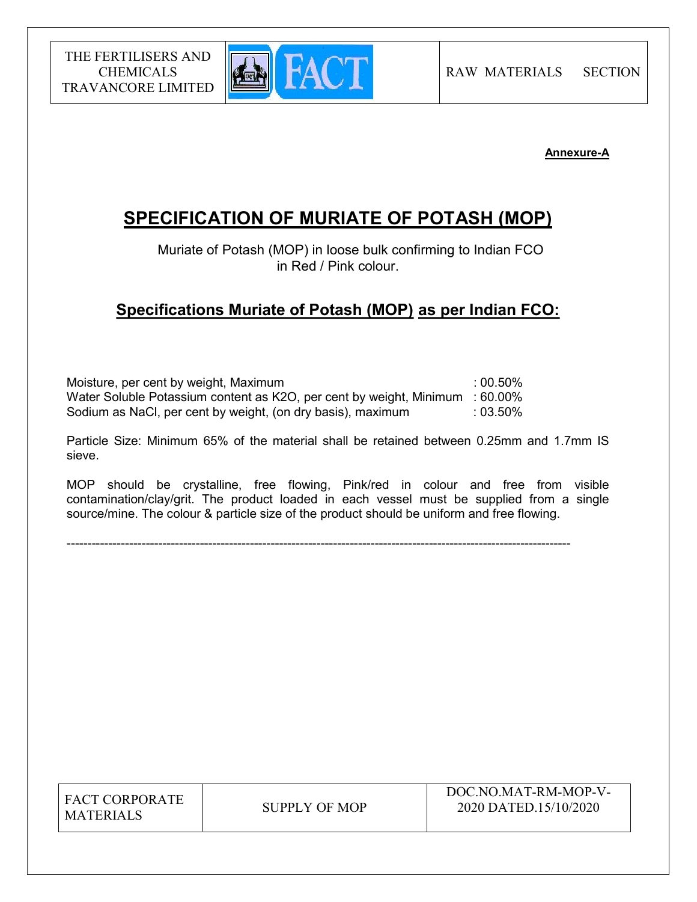

# Annexure-A

# SPECIFICATION OF MURIATE OF POTASH (MOP)

 Muriate of Potash (MOP) in loose bulk confirming to Indian FCO in Red / Pink colour.

# Specifications Muriate of Potash (MOP) as per Indian FCO:

Moisture, per cent by weight, Maximum **in the same in the set of the set of the set of the set of the set of the set of the set of the set of the set of the set of the set of the set of the set of the set of the set of the** Water Soluble Potassium content as K2O, per cent by weight, Minimum : 60.00% Sodium as NaCl, per cent by weight, (on dry basis), maximum : 03.50%

Particle Size: Minimum 65% of the material shall be retained between 0.25mm and 1.7mm IS sieve.

MOP should be crystalline, free flowing, Pink/red in colour and free from visible contamination/clay/grit. The product loaded in each vessel must be supplied from a single source/mine. The colour & particle size of the product should be uniform and free flowing.

-------------------------------------------------------------------------------------------------------------------------

FACT CORPORATE MATERIALS SUPPLY OF MOP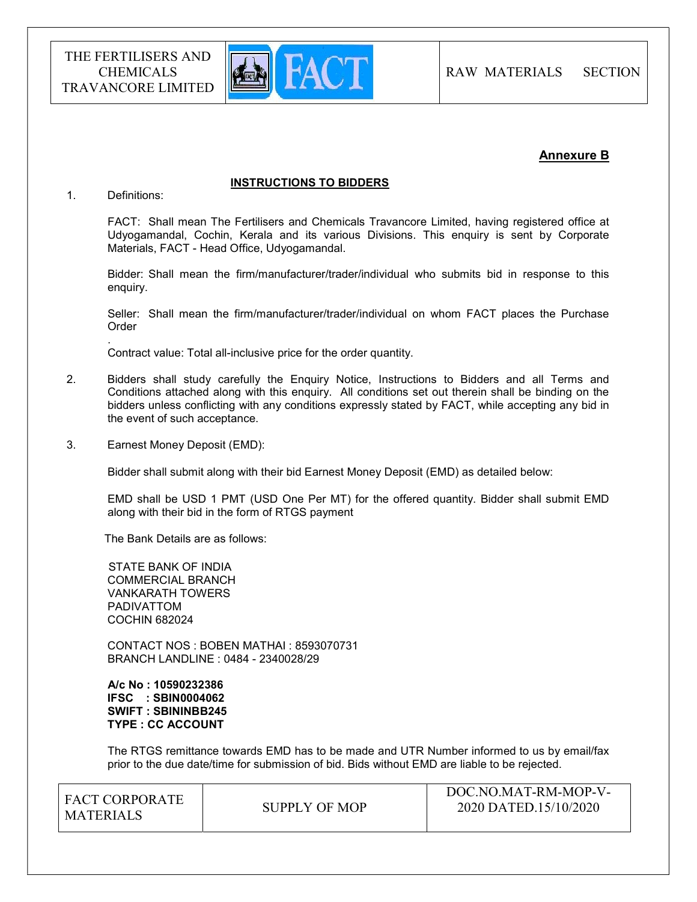

# Annexure B

#### INSTRUCTIONS TO BIDDERS

#### 1. Definitions:

.

FACT: Shall mean The Fertilisers and Chemicals Travancore Limited, having registered office at Udyogamandal, Cochin, Kerala and its various Divisions. This enquiry is sent by Corporate Materials, FACT - Head Office, Udyogamandal.

Bidder: Shall mean the firm/manufacturer/trader/individual who submits bid in response to this enquiry.

Seller: Shall mean the firm/manufacturer/trader/individual on whom FACT places the Purchase **Order** 

Contract value: Total all-inclusive price for the order quantity.

- 2. Bidders shall study carefully the Enquiry Notice, Instructions to Bidders and all Terms and Conditions attached along with this enquiry. All conditions set out therein shall be binding on the bidders unless conflicting with any conditions expressly stated by FACT, while accepting any bid in the event of such acceptance.
- 3. Earnest Money Deposit (EMD):

Bidder shall submit along with their bid Earnest Money Deposit (EMD) as detailed below:

EMD shall be USD 1 PMT (USD One Per MT) for the offered quantity. Bidder shall submit EMD along with their bid in the form of RTGS payment

The Bank Details are as follows:

 STATE BANK OF INDIA COMMERCIAL BRANCH VANKARATH TOWERS PADIVATTOM COCHIN 682024

 CONTACT NOS : BOBEN MATHAI : 8593070731 BRANCH LANDLINE : 0484 - 2340028/29

 A/c No : 10590232386 IFSC : SBIN0004062 SWIFT : SBININBB245 TYPE : CC ACCOUNT

The RTGS remittance towards EMD has to be made and UTR Number informed to us by email/fax prior to the due date/time for submission of bid. Bids without EMD are liable to be rejected.

| I FACT CORPORATE<br><b>MATERIALS</b> | SUPPLY OF MOP | DOC.NO.MAT-RM-MOP-V-<br>2020 DATED.15/10/2020 |
|--------------------------------------|---------------|-----------------------------------------------|
|                                      |               |                                               |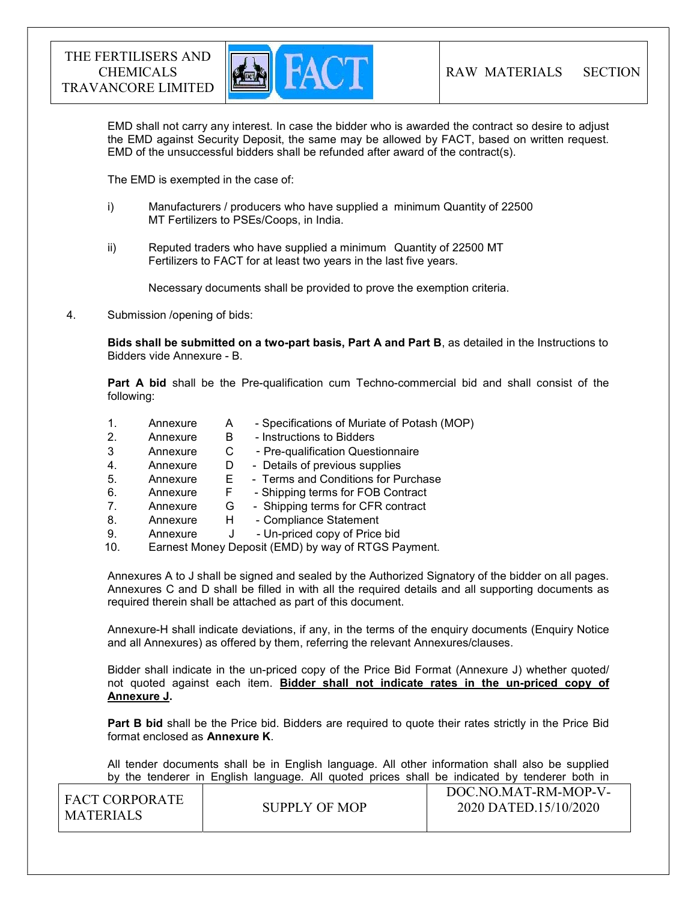

EMD shall not carry any interest. In case the bidder who is awarded the contract so desire to adjust the EMD against Security Deposit, the same may be allowed by FACT, based on written request. EMD of the unsuccessful bidders shall be refunded after award of the contract(s).

The EMD is exempted in the case of:

- i) Manufacturers / producers who have supplied a minimum Quantity of 22500 MT Fertilizers to PSEs/Coops, in India.
- ii) Reputed traders who have supplied a minimum Quantity of 22500 MT Fertilizers to FACT for at least two years in the last five years.

Necessary documents shall be provided to prove the exemption criteria.

4. Submission /opening of bids:

Bids shall be submitted on a two-part basis, Part A and Part B, as detailed in the Instructions to Bidders vide Annexure - B.

Part A bid shall be the Pre-qualification cum Techno-commercial bid and shall consist of the following:

- 1. Annexure A Specifications of Muriate of Potash (MOP) 2. Annexure B - Instructions to Bidders
- 3 Annexure C Pre-qualification Questionnaire
- 4. Annexure D Details of previous supplies
- 5. Annexure E Terms and Conditions for Purchase
- 6. Annexure F Shipping terms for FOB Contract
- 7. Annexure G Shipping terms for CFR contract
- 8. Annexure H Compliance Statement
- 9. Annexure J Un-priced copy of Price bid
- 10. Earnest Money Deposit (EMD) by way of RTGS Payment.

Annexures A to J shall be signed and sealed by the Authorized Signatory of the bidder on all pages. Annexures C and D shall be filled in with all the required details and all supporting documents as required therein shall be attached as part of this document.

Annexure-H shall indicate deviations, if any, in the terms of the enquiry documents (Enquiry Notice and all Annexures) as offered by them, referring the relevant Annexures/clauses.

Bidder shall indicate in the un-priced copy of the Price Bid Format (Annexure J) whether quoted/ not quoted against each item. Bidder shall not indicate rates in the un-priced copy of Annexure J.

**Part B bid** shall be the Price bid. Bidders are required to quote their rates strictly in the Price Bid format enclosed as Annexure K.

 All tender documents shall be in English language. All other information shall also be supplied by the tenderer in English language. All quoted prices shall be indicated by tenderer both in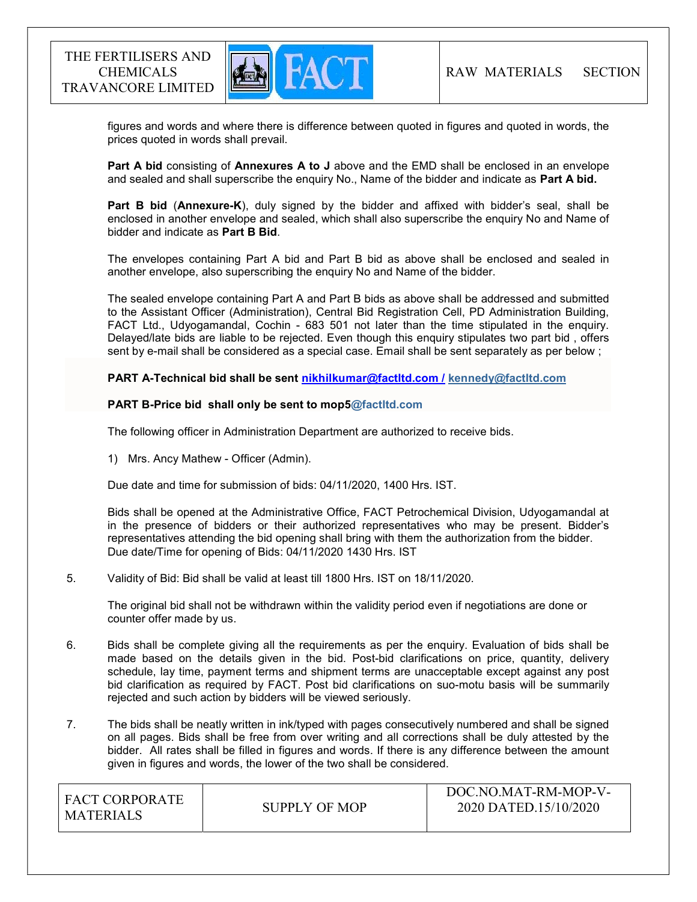

 figures and words and where there is difference between quoted in figures and quoted in words, the prices quoted in words shall prevail.

Part A bid consisting of Annexures A to J above and the EMD shall be enclosed in an envelope and sealed and shall superscribe the enquiry No., Name of the bidder and indicate as Part A bid.

Part B bid (Annexure-K), duly signed by the bidder and affixed with bidder's seal, shall be enclosed in another envelope and sealed, which shall also superscribe the enquiry No and Name of bidder and indicate as Part B Bid.

The envelopes containing Part A bid and Part B bid as above shall be enclosed and sealed in another envelope, also superscribing the enquiry No and Name of the bidder.

The sealed envelope containing Part A and Part B bids as above shall be addressed and submitted to the Assistant Officer (Administration), Central Bid Registration Cell, PD Administration Building, FACT Ltd., Udyogamandal, Cochin - 683 501 not later than the time stipulated in the enquiry. Delayed/late bids are liable to be rejected. Even though this enquiry stipulates two part bid , offers sent by e-mail shall be considered as a special case. Email shall be sent separately as per below ;

PART A-Technical bid shall be sent nikhilkumar@factltd.com / kennedy@factltd.com

#### PART B-Price bid shall only be sent to mop5@factltd.com

The following officer in Administration Department are authorized to receive bids.

1) Mrs. Ancy Mathew - Officer (Admin).

Due date and time for submission of bids: 04/11/2020, 1400 Hrs. IST.

Bids shall be opened at the Administrative Office, FACT Petrochemical Division, Udyogamandal at in the presence of bidders or their authorized representatives who may be present. Bidder's representatives attending the bid opening shall bring with them the authorization from the bidder. Due date/Time for opening of Bids: 04/11/2020 1430 Hrs. IST

#### 5. Validity of Bid: Bid shall be valid at least till 1800 Hrs. IST on 18/11/2020.

The original bid shall not be withdrawn within the validity period even if negotiations are done or counter offer made by us.

- 6. Bids shall be complete giving all the requirements as per the enquiry. Evaluation of bids shall be made based on the details given in the bid. Post-bid clarifications on price, quantity, delivery schedule, lay time, payment terms and shipment terms are unacceptable except against any post bid clarification as required by FACT. Post bid clarifications on suo-motu basis will be summarily rejected and such action by bidders will be viewed seriously.
- 7. The bids shall be neatly written in ink/typed with pages consecutively numbered and shall be signed on all pages. Bids shall be free from over writing and all corrections shall be duly attested by the bidder. All rates shall be filled in figures and words. If there is any difference between the amount given in figures and words, the lower of the two shall be considered.

| <b>FACT CORPORATE</b><br>MATERIALS | SUPPLY OF MOP | DOC.NO.MAT-RM-MOP-V-<br>2020 DATED.15/10/2020 |
|------------------------------------|---------------|-----------------------------------------------|
|                                    |               |                                               |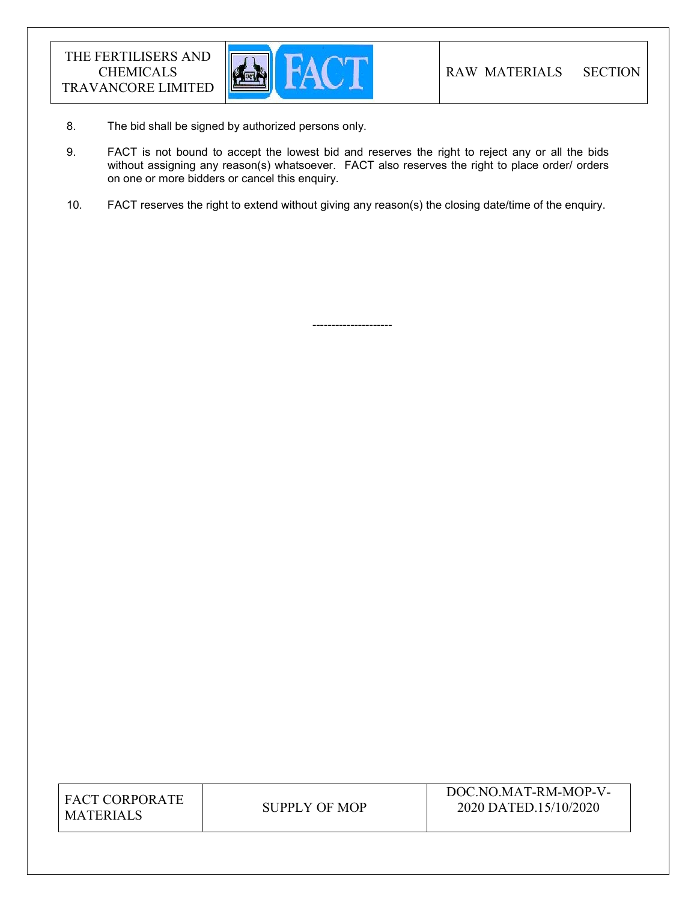

8. The bid shall be signed by authorized persons only.

---------------------

- 9. FACT is not bound to accept the lowest bid and reserves the right to reject any or all the bids without assigning any reason(s) whatsoever. FACT also reserves the right to place order/ orders on one or more bidders or cancel this enquiry.
- 10. FACT reserves the right to extend without giving any reason(s) the closing date/time of the enquiry.

| <b>FACT CORPORATE</b> |
|-----------------------|
| <b>MATERIALS</b>      |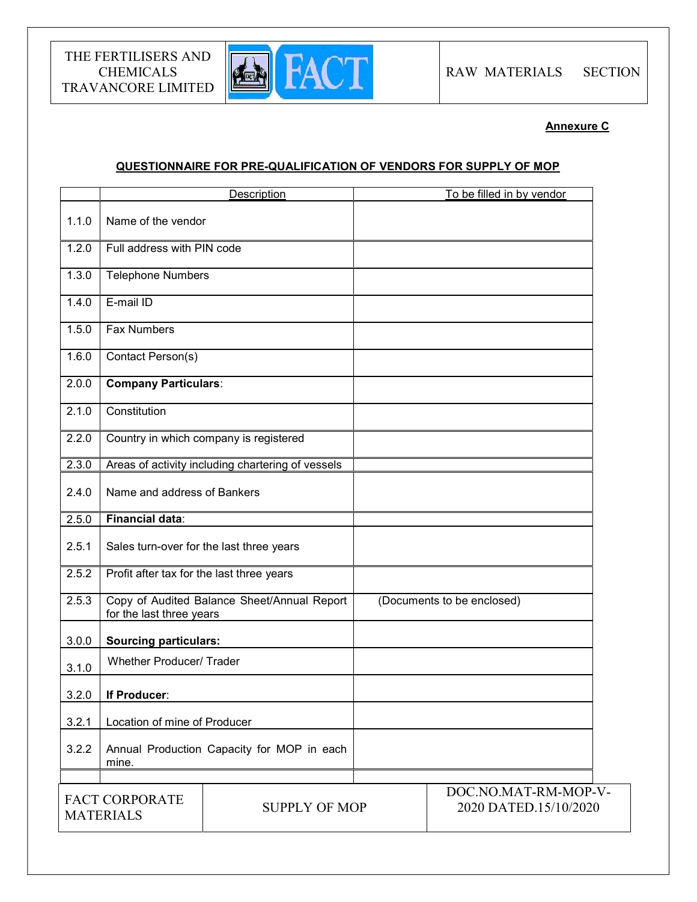

Annexure C

# QUESTIONNAIRE FOR PRE-QUALIFICATION OF VENDORS FOR SUPPLY OF MOP

|       |                                           | Description                                       | To be filled in by vendor                     |
|-------|-------------------------------------------|---------------------------------------------------|-----------------------------------------------|
| 1.1.0 | Name of the vendor                        |                                                   |                                               |
| 1.2.0 | Full address with PIN code                |                                                   |                                               |
| 1.3.0 | <b>Telephone Numbers</b>                  |                                                   |                                               |
| 1.4.0 | E-mail ID                                 |                                                   |                                               |
| 1.5.0 | <b>Fax Numbers</b>                        |                                                   |                                               |
| 1.6.0 | Contact Person(s)                         |                                                   |                                               |
| 2.0.0 | <b>Company Particulars:</b>               |                                                   |                                               |
| 2.1.0 | Constitution                              |                                                   |                                               |
| 2.2.0 |                                           | Country in which company is registered            |                                               |
| 2.3.0 |                                           | Areas of activity including chartering of vessels |                                               |
| 2.4.0 | Name and address of Bankers               |                                                   |                                               |
| 2.5.0 | <b>Financial data:</b>                    |                                                   |                                               |
| 2.5.1 | Sales turn-over for the last three years  |                                                   |                                               |
| 2.5.2 | Profit after tax for the last three years |                                                   |                                               |
| 2.5.3 | for the last three years                  | Copy of Audited Balance Sheet/Annual Report       | (Documents to be enclosed)                    |
| 3.0.0 | <b>Sourcing particulars:</b>              |                                                   |                                               |
| 3.1.0 | <b>Whether Producer/ Trader</b>           |                                                   |                                               |
| 3.2.0 | If Producer:                              |                                                   |                                               |
| 3.2.1 | Location of mine of Producer              |                                                   |                                               |
| 3.2.2 | mine.                                     | Annual Production Capacity for MOP in each        |                                               |
|       | FACT CORPORATE<br><b>MATERIALS</b>        | <b>SUPPLY OF MOP</b>                              | DOC.NO.MAT-RM-MOP-V-<br>2020 DATED.15/10/2020 |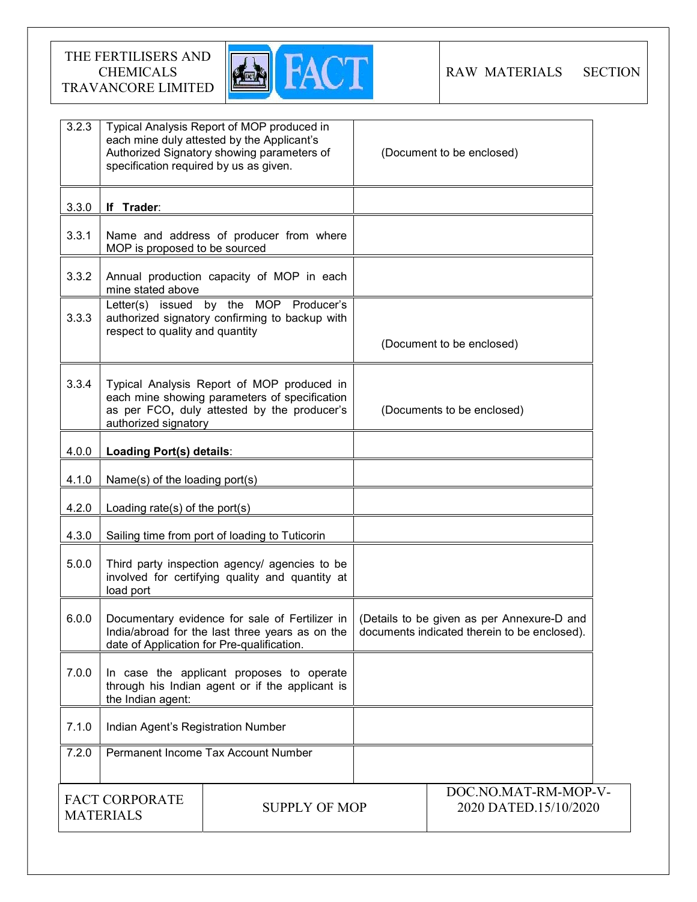

| 3.2.3                                                             | Typical Analysis Report of MOP produced in<br>each mine duly attested by the Applicant's<br>Authorized Signatory showing parameters of<br>specification required by us as given. |                                                                                                                                                 | (Document to be enclosed)                                                                  |
|-------------------------------------------------------------------|----------------------------------------------------------------------------------------------------------------------------------------------------------------------------------|-------------------------------------------------------------------------------------------------------------------------------------------------|--------------------------------------------------------------------------------------------|
| 3.3.0                                                             | If Trader:                                                                                                                                                                       |                                                                                                                                                 |                                                                                            |
| 3.3.1                                                             | MOP is proposed to be sourced                                                                                                                                                    | Name and address of producer from where                                                                                                         |                                                                                            |
| 3.3.2                                                             | mine stated above                                                                                                                                                                | Annual production capacity of MOP in each                                                                                                       |                                                                                            |
| 3.3.3                                                             | respect to quality and quantity                                                                                                                                                  | Letter(s) issued by the MOP Producer's<br>authorized signatory confirming to backup with                                                        | (Document to be enclosed)                                                                  |
| 3.3.4                                                             | authorized signatory                                                                                                                                                             | Typical Analysis Report of MOP produced in<br>each mine showing parameters of specification<br>as per FCO, duly attested by the producer's      | (Documents to be enclosed)                                                                 |
| 4.0.0                                                             | Loading Port(s) details:                                                                                                                                                         |                                                                                                                                                 |                                                                                            |
| 4.1.0                                                             | Name(s) of the loading port(s)                                                                                                                                                   |                                                                                                                                                 |                                                                                            |
| 4.2.0                                                             | Loading rate(s) of the port(s)                                                                                                                                                   |                                                                                                                                                 |                                                                                            |
| 4.3.0                                                             |                                                                                                                                                                                  | Sailing time from port of loading to Tuticorin                                                                                                  |                                                                                            |
| 5.0.0                                                             | Third party inspection agency/ agencies to be<br>involved for certifying quality and quantity at<br>load port                                                                    |                                                                                                                                                 |                                                                                            |
| 6.0.0                                                             |                                                                                                                                                                                  | Documentary evidence for sale of Fertilizer in<br>India/abroad for the last three years as on the<br>date of Application for Pre-qualification. | (Details to be given as per Annexure-D and<br>documents indicated therein to be enclosed). |
| 7.0.0                                                             | the Indian agent:                                                                                                                                                                | In case the applicant proposes to operate<br>through his Indian agent or if the applicant is                                                    |                                                                                            |
| 7.1.0                                                             | Indian Agent's Registration Number                                                                                                                                               |                                                                                                                                                 |                                                                                            |
| 7.2.0                                                             |                                                                                                                                                                                  | Permanent Income Tax Account Number                                                                                                             |                                                                                            |
| <b>FACT CORPORATE</b><br><b>SUPPLY OF MOP</b><br><b>MATERIALS</b> |                                                                                                                                                                                  | DOC.NO.MAT-RM-MOP-V-<br>2020 DATED.15/10/2020                                                                                                   |                                                                                            |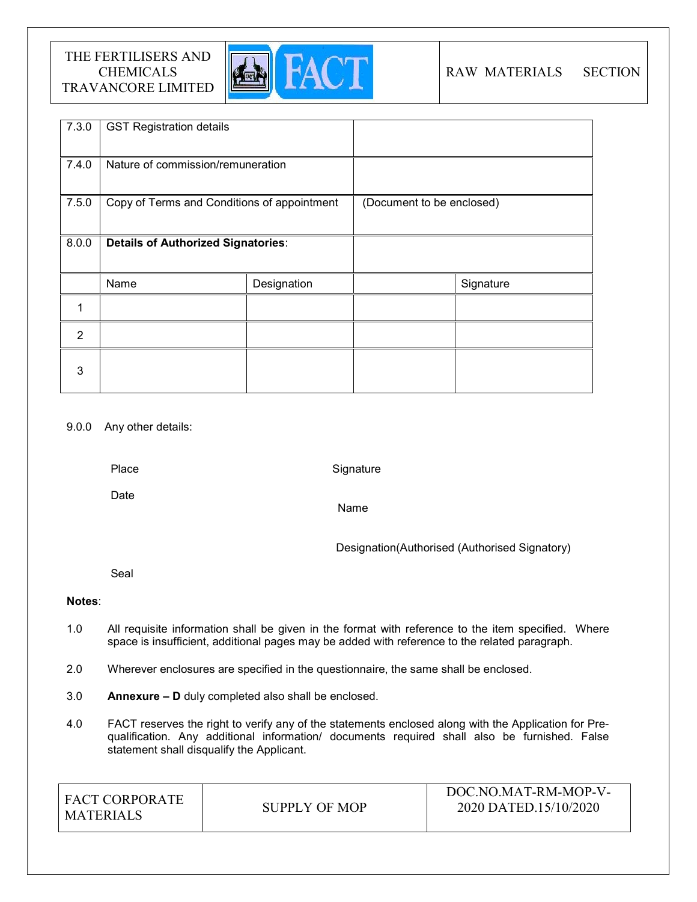

# RAW MATERIALS SECTION

| 7.3.0          | <b>GST Registration details</b>             |             |                           |           |
|----------------|---------------------------------------------|-------------|---------------------------|-----------|
| 7.4.0          | Nature of commission/remuneration           |             |                           |           |
| 7.5.0          | Copy of Terms and Conditions of appointment |             | (Document to be enclosed) |           |
| 8.0.0          | <b>Details of Authorized Signatories:</b>   |             |                           |           |
|                | Name                                        | Designation |                           | Signature |
|                |                                             |             |                           |           |
| $\overline{2}$ |                                             |             |                           |           |
| 3              |                                             |             |                           |           |

# 9.0.0 Any other details:

Place

**Signature** 

Date

Name

Designation(Authorised (Authorised Signatory)

Seal

# Notes:

- 1.0 All requisite information shall be given in the format with reference to the item specified. Where space is insufficient, additional pages may be added with reference to the related paragraph.
- 2.0 Wherever enclosures are specified in the questionnaire, the same shall be enclosed.
- 3.0 Annexure D duly completed also shall be enclosed.
- 4.0 FACT reserves the right to verify any of the statements enclosed along with the Application for Prequalification. Any additional information/ documents required shall also be furnished. False statement shall disqualify the Applicant.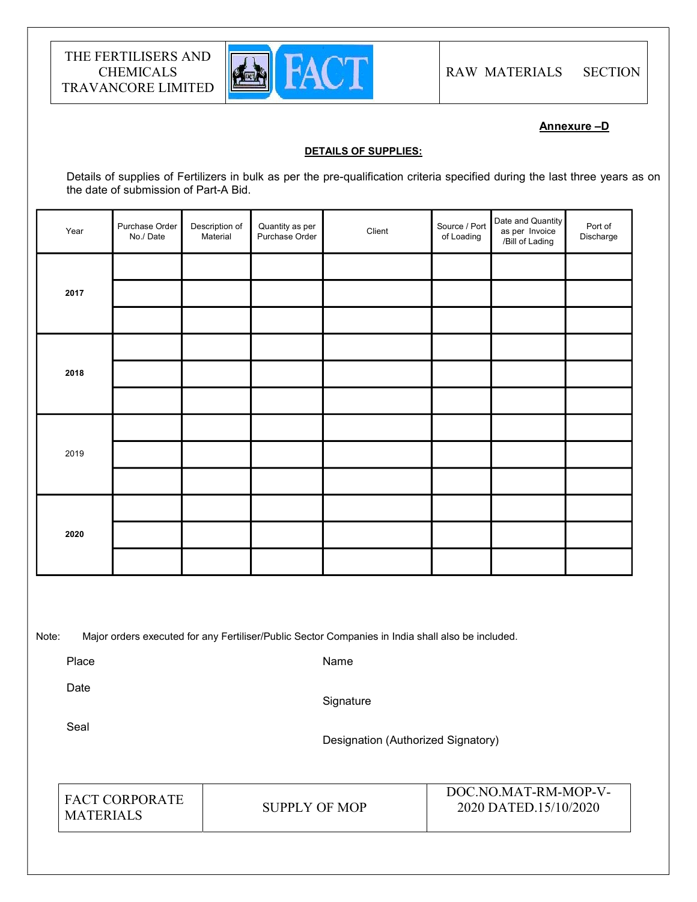

# Annexure –D

#### DETAILS OF SUPPLIES:

Details of supplies of Fertilizers in bulk as per the pre-qualification criteria specified during the last three years as on the date of submission of Part-A Bid.

| Year | Purchase Order<br>No./Date | Description of<br>Material | Quantity as per<br>Purchase Order | Client | Source / Port<br>of Loading | Date and Quantity<br>as per Invoice<br>/Bill of Lading | Port of<br>Discharge |  |
|------|----------------------------|----------------------------|-----------------------------------|--------|-----------------------------|--------------------------------------------------------|----------------------|--|
| 2017 |                            |                            |                                   |        |                             |                                                        |                      |  |
|      |                            |                            |                                   |        |                             |                                                        |                      |  |
|      |                            |                            |                                   |        |                             |                                                        |                      |  |
|      |                            |                            |                                   |        |                             |                                                        |                      |  |
| 2018 |                            |                            |                                   |        |                             |                                                        |                      |  |
|      |                            |                            |                                   |        |                             |                                                        |                      |  |
| 2019 |                            |                            |                                   |        |                             |                                                        |                      |  |
|      |                            |                            |                                   |        |                             |                                                        |                      |  |
|      |                            |                            |                                   |        |                             |                                                        |                      |  |
| 2020 |                            |                            |                                   |        |                             |                                                        |                      |  |
|      |                            |                            |                                   |        |                             |                                                        |                      |  |
|      |                            |                            |                                   |        |                             |                                                        |                      |  |

Note: Major orders executed for any Fertiliser/Public Sector Companies in India shall also be included.

Place

Name

Date

**Signature** 

Seal

Designation (Authorized Signatory)

| <b>FACT CORPORATE</b><br><b>MATERIALS</b> | SUPPLY OF MOP | DOC.NO.MAT-RM-MOP-V-<br>2020 DATED.15/10/2020 |
|-------------------------------------------|---------------|-----------------------------------------------|
|-------------------------------------------|---------------|-----------------------------------------------|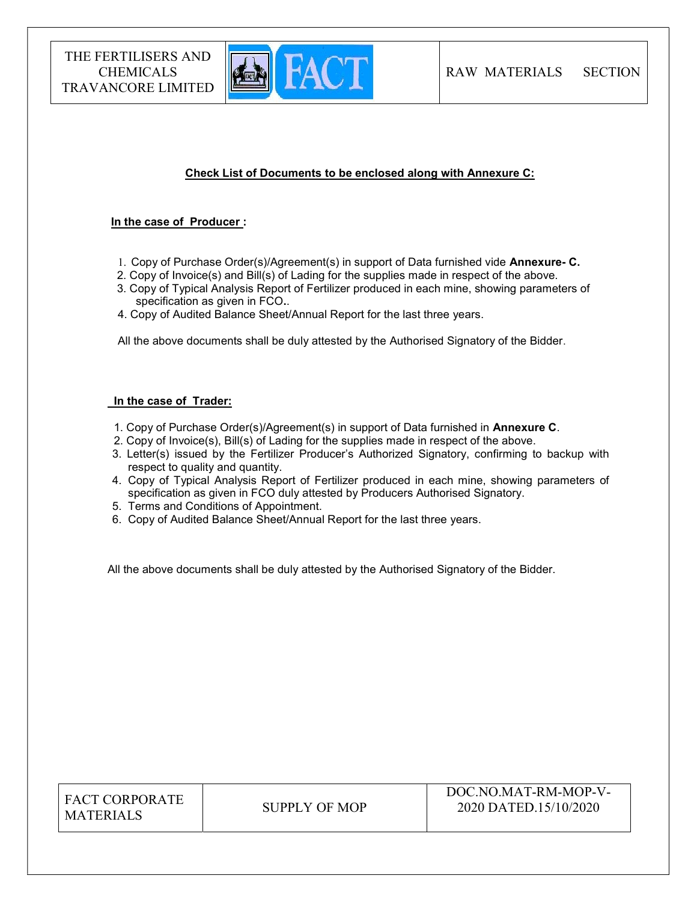

# Check List of Documents to be enclosed along with Annexure C:

#### In the case of Producer :

- 1. Copy of Purchase Order(s)/Agreement(s) in support of Data furnished vide Annexure- C.
- 2. Copy of Invoice(s) and Bill(s) of Lading for the supplies made in respect of the above.
- 3. Copy of Typical Analysis Report of Fertilizer produced in each mine, showing parameters of specification as given in FCO..
- 4. Copy of Audited Balance Sheet/Annual Report for the last three years.

All the above documents shall be duly attested by the Authorised Signatory of the Bidder.

#### In the case of Trader:

- 1. Copy of Purchase Order(s)/Agreement(s) in support of Data furnished in Annexure C.
- 2. Copy of Invoice(s), Bill(s) of Lading for the supplies made in respect of the above.
- 3. Letter(s) issued by the Fertilizer Producer's Authorized Signatory, confirming to backup with respect to quality and quantity.
- 4. Copy of Typical Analysis Report of Fertilizer produced in each mine, showing parameters of specification as given in FCO duly attested by Producers Authorised Signatory.
- 5. Terms and Conditions of Appointment.
- 6. Copy of Audited Balance Sheet/Annual Report for the last three years.

All the above documents shall be duly attested by the Authorised Signatory of the Bidder.

| <b>FACT CORPORATE</b> |
|-----------------------|
| <b>MATERIALS</b>      |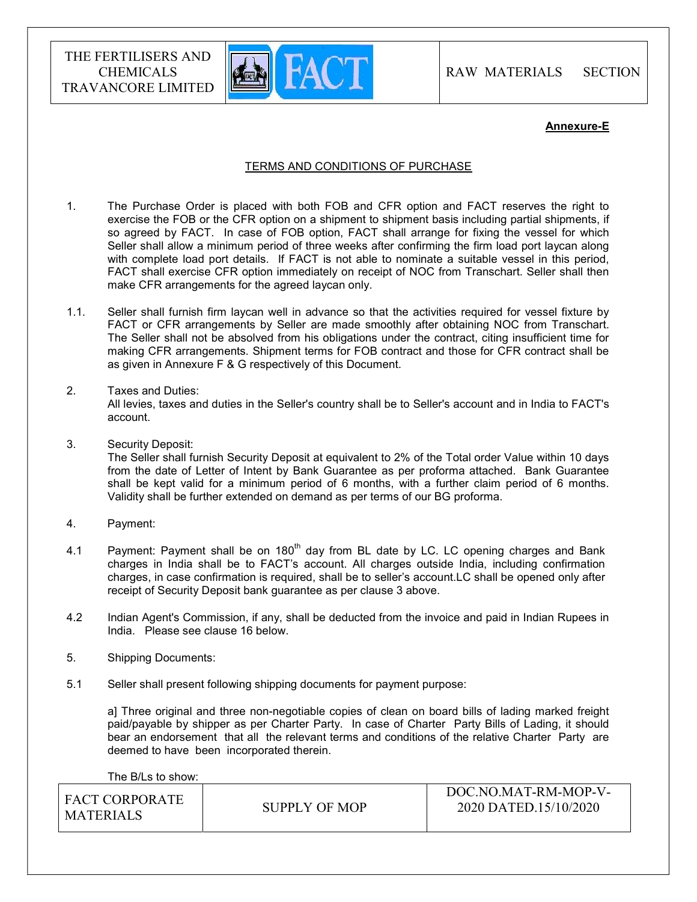

RAW MATERIALS SECTION

#### Annexure-E

## TERMS AND CONDITIONS OF PURCHASE

- 1. The Purchase Order is placed with both FOB and CFR option and FACT reserves the right to exercise the FOB or the CFR option on a shipment to shipment basis including partial shipments, if so agreed by FACT. In case of FOB option, FACT shall arrange for fixing the vessel for which Seller shall allow a minimum period of three weeks after confirming the firm load port laycan along with complete load port details. If FACT is not able to nominate a suitable vessel in this period, FACT shall exercise CFR option immediately on receipt of NOC from Transchart. Seller shall then make CFR arrangements for the agreed laycan only.
- 1.1. Seller shall furnish firm laycan well in advance so that the activities required for vessel fixture by FACT or CFR arrangements by Seller are made smoothly after obtaining NOC from Transchart. The Seller shall not be absolved from his obligations under the contract, citing insufficient time for making CFR arrangements. Shipment terms for FOB contract and those for CFR contract shall be as given in Annexure F & G respectively of this Document.
- 2. Taxes and Duties:

All levies, taxes and duties in the Seller's country shall be to Seller's account and in India to FACT's account.

3. Security Deposit:

The Seller shall furnish Security Deposit at equivalent to 2% of the Total order Value within 10 days from the date of Letter of Intent by Bank Guarantee as per proforma attached. Bank Guarantee shall be kept valid for a minimum period of 6 months, with a further claim period of 6 months. Validity shall be further extended on demand as per terms of our BG proforma.

- 4. Payment:
- 4.1 Payment: Payment shall be on  $180<sup>th</sup>$  day from BL date by LC. LC opening charges and Bank charges in India shall be to FACT's account. All charges outside India, including confirmation charges, in case confirmation is required, shall be to seller's account.LC shall be opened only after receipt of Security Deposit bank guarantee as per clause 3 above.
- 4.2 Indian Agent's Commission, if any, shall be deducted from the invoice and paid in Indian Rupees in India. Please see clause 16 below.
- 5. Shipping Documents:
- 5.1 Seller shall present following shipping documents for payment purpose:

a] Three original and three non-negotiable copies of clean on board bills of lading marked freight paid/payable by shipper as per Charter Party. In case of Charter Party Bills of Lading, it should bear an endorsement that all the relevant terms and conditions of the relative Charter Party are deemed to have been incorporated therein.

The B/Ls to show: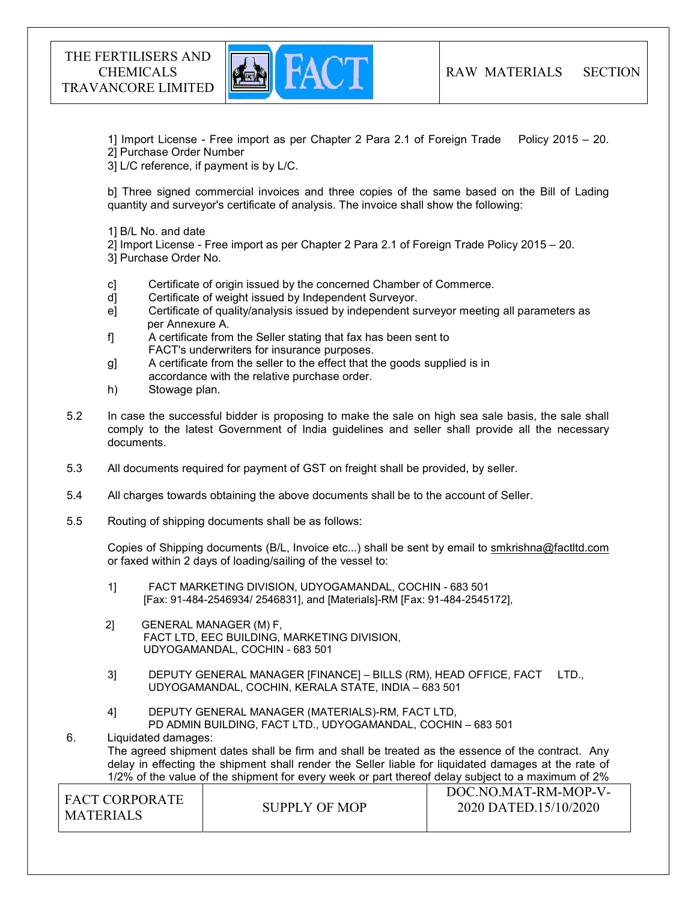

1] Import License - Free import as per Chapter 2 Para 2.1 of Foreign Trade Policy 2015 – 20.

2] Purchase Order Number

3] L/C reference, if payment is by L/C.

b] Three signed commercial invoices and three copies of the same based on the Bill of Lading quantity and surveyor's certificate of analysis. The invoice shall show the following:

1] B/L No. and date

2] Import License - Free import as per Chapter 2 Para 2.1 of Foreign Trade Policy 2015 – 20.

3] Purchase Order No.

- c] Certificate of origin issued by the concerned Chamber of Commerce.
- d] Certificate of weight issued by Independent Surveyor.
- e] Certificate of quality/analysis issued by independent surveyor meeting all parameters as per Annexure A.
- f] A certificate from the Seller stating that fax has been sent to FACT's underwriters for insurance purposes.
- g] A certificate from the seller to the effect that the goods supplied is in accordance with the relative purchase order.
- h) Stowage plan.
- 5.2 In case the successful bidder is proposing to make the sale on high sea sale basis, the sale shall comply to the latest Government of India guidelines and seller shall provide all the necessary documents.
- 5.3 All documents required for payment of GST on freight shall be provided, by seller.
- 5.4 All charges towards obtaining the above documents shall be to the account of Seller.
- 5.5 Routing of shipping documents shall be as follows:

 Copies of Shipping documents (B/L, Invoice etc...) shall be sent by email to smkrishna@factltd.com or faxed within 2 days of loading/sailing of the vessel to:

- 1] FACT MARKETING DIVISION, UDYOGAMANDAL, COCHIN 683 501 [Fax: 91-484-2546934/ 2546831], and [Materials]-RM [Fax: 91-484-2545172],
- 2] GENERAL MANAGER (M) F, FACT LTD, EEC BUILDING, MARKETING DIVISION, UDYOGAMANDAL, COCHIN - 683 501
- 3] DEPUTY GENERAL MANAGER [FINANCE] BILLS (RM), HEAD OFFICE, FACT LTD., UDYOGAMANDAL, COCHIN, KERALA STATE, INDIA – 683 501
- 4] DEPUTY GENERAL MANAGER (MATERIALS)-RM, FACT LTD, PD ADMIN BUILDING, FACT LTD., UDYOGAMANDAL, COCHIN – 683 501

6. Liquidated damages: The agreed shipment dates shall be firm and shall be treated as the essence of the contract. Any delay in effecting the shipment shall render the Seller liable for liquidated damages at the rate of 1/2% of the value of the shipment for every week or part thereof delay subject to a maximum of 2%

| I FACT CORPORATE | SUPPLY OF MOP | DOC.NO.MAT-RM-MOP-V-<br>2020 DATED.15/10/2020 |  |  |
|------------------|---------------|-----------------------------------------------|--|--|
| <b>MATERIALS</b> |               |                                               |  |  |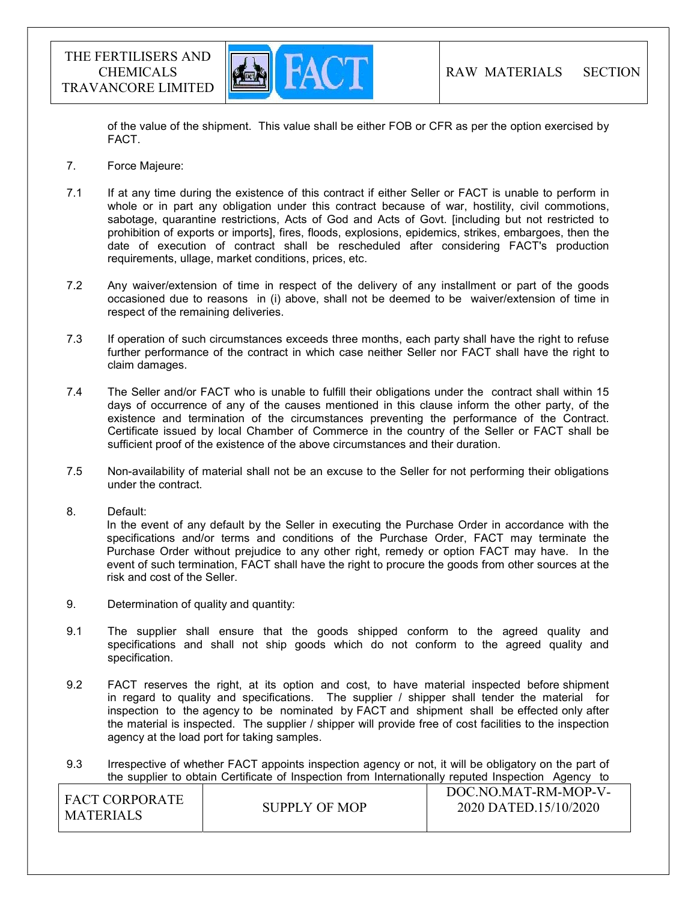

of the value of the shipment. This value shall be either FOB or CFR as per the option exercised by FACT.

- 7. Force Majeure:
- 7.1 If at any time during the existence of this contract if either Seller or FACT is unable to perform in whole or in part any obligation under this contract because of war, hostility, civil commotions, sabotage, quarantine restrictions, Acts of God and Acts of Govt. [including but not restricted to prohibition of exports or imports], fires, floods, explosions, epidemics, strikes, embargoes, then the date of execution of contract shall be rescheduled after considering FACT's production requirements, ullage, market conditions, prices, etc.
- 7.2 Any waiver/extension of time in respect of the delivery of any installment or part of the goods occasioned due to reasons in (i) above, shall not be deemed to be waiver/extension of time in respect of the remaining deliveries.
- 7.3 If operation of such circumstances exceeds three months, each party shall have the right to refuse further performance of the contract in which case neither Seller nor FACT shall have the right to claim damages.
- 7.4 The Seller and/or FACT who is unable to fulfill their obligations under the contract shall within 15 days of occurrence of any of the causes mentioned in this clause inform the other party, of the existence and termination of the circumstances preventing the performance of the Contract. Certificate issued by local Chamber of Commerce in the country of the Seller or FACT shall be sufficient proof of the existence of the above circumstances and their duration.
- 7.5 Non-availability of material shall not be an excuse to the Seller for not performing their obligations under the contract.
- 8. Default:

In the event of any default by the Seller in executing the Purchase Order in accordance with the specifications and/or terms and conditions of the Purchase Order, FACT may terminate the Purchase Order without prejudice to any other right, remedy or option FACT may have. In the event of such termination, FACT shall have the right to procure the goods from other sources at the risk and cost of the Seller.

- 9. Determination of quality and quantity:
- 9.1 The supplier shall ensure that the goods shipped conform to the agreed quality and specifications and shall not ship goods which do not conform to the agreed quality and specification.
- 9.2 FACT reserves the right, at its option and cost, to have material inspected before shipment in regard to quality and specifications. The supplier / shipper shall tender the material for inspection to the agency to be nominated by FACT and shipment shall be effected only after the material is inspected. The supplier / shipper will provide free of cost facilities to the inspection agency at the load port for taking samples.
- 9.3 Irrespective of whether FACT appoints inspection agency or not, it will be obligatory on the part of the supplier to obtain Certificate of Inspection from Internationally reputed Inspection Agency to

| LEACT CORPORATE<br><b>MATERIALS</b> | SUPPLY OF MOP | DOC.NO.MAT-RM-MOP-V-<br>2020 DATED.15/10/2020 |
|-------------------------------------|---------------|-----------------------------------------------|
|                                     |               |                                               |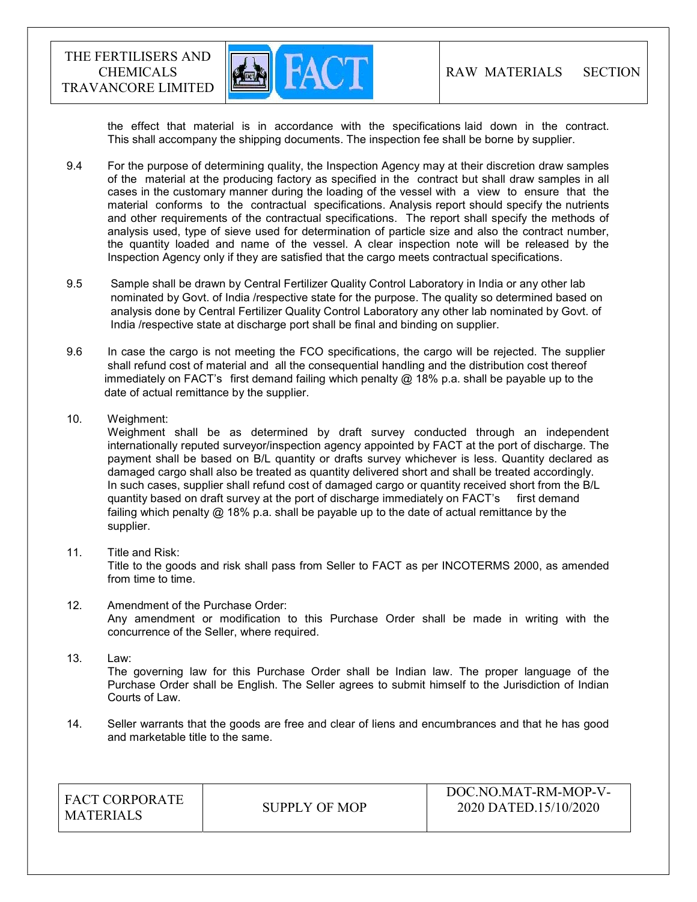

the effect that material is in accordance with the specifications laid down in the contract. This shall accompany the shipping documents. The inspection fee shall be borne by supplier.

- 9.4 For the purpose of determining quality, the Inspection Agency may at their discretion draw samples of the material at the producing factory as specified in the contract but shall draw samples in all cases in the customary manner during the loading of the vessel with a view to ensure that the material conforms to the contractual specifications. Analysis report should specify the nutrients and other requirements of the contractual specifications. The report shall specify the methods of analysis used, type of sieve used for determination of particle size and also the contract number, the quantity loaded and name of the vessel. A clear inspection note will be released by the Inspection Agency only if they are satisfied that the cargo meets contractual specifications.
- 9.5 Sample shall be drawn by Central Fertilizer Quality Control Laboratory in India or any other lab nominated by Govt. of India /respective state for the purpose. The quality so determined based on analysis done by Central Fertilizer Quality Control Laboratory any other lab nominated by Govt. of India /respective state at discharge port shall be final and binding on supplier.
- 9.6 In case the cargo is not meeting the FCO specifications, the cargo will be rejected. The supplier shall refund cost of material and all the consequential handling and the distribution cost thereof immediately on FACT's first demand failing which penalty  $@18\%$  p.a. shall be payable up to the date of actual remittance by the supplier.
- 10. Weighment:

 Weighment shall be as determined by draft survey conducted through an independent internationally reputed surveyor/inspection agency appointed by FACT at the port of discharge. The payment shall be based on B/L quantity or drafts survey whichever is less. Quantity declared as damaged cargo shall also be treated as quantity delivered short and shall be treated accordingly. In such cases, supplier shall refund cost of damaged cargo or quantity received short from the B/L quantity based on draft survey at the port of discharge immediately on FACT's first demand failing which penalty @ 18% p.a. shall be payable up to the date of actual remittance by the supplier.

11. Title and Risk:

Title to the goods and risk shall pass from Seller to FACT as per INCOTERMS 2000, as amended from time to time.

- 12. Amendment of the Purchase Order: Any amendment or modification to this Purchase Order shall be made in writing with the concurrence of the Seller, where required.
- 13. Law: The governing law for this Purchase Order shall be Indian law. The proper language of the Purchase Order shall be English. The Seller agrees to submit himself to the Jurisdiction of Indian Courts of Law.
- 14. Seller warrants that the goods are free and clear of liens and encumbrances and that he has good and marketable title to the same.

| <b>FACT CORPORATE</b><br><b>MATERIALS</b> | SUPPLY OF MOP | DOC.NO.MAT-RM-MOP-V-<br>2020 DATED.15/10/2020 |
|-------------------------------------------|---------------|-----------------------------------------------|
|-------------------------------------------|---------------|-----------------------------------------------|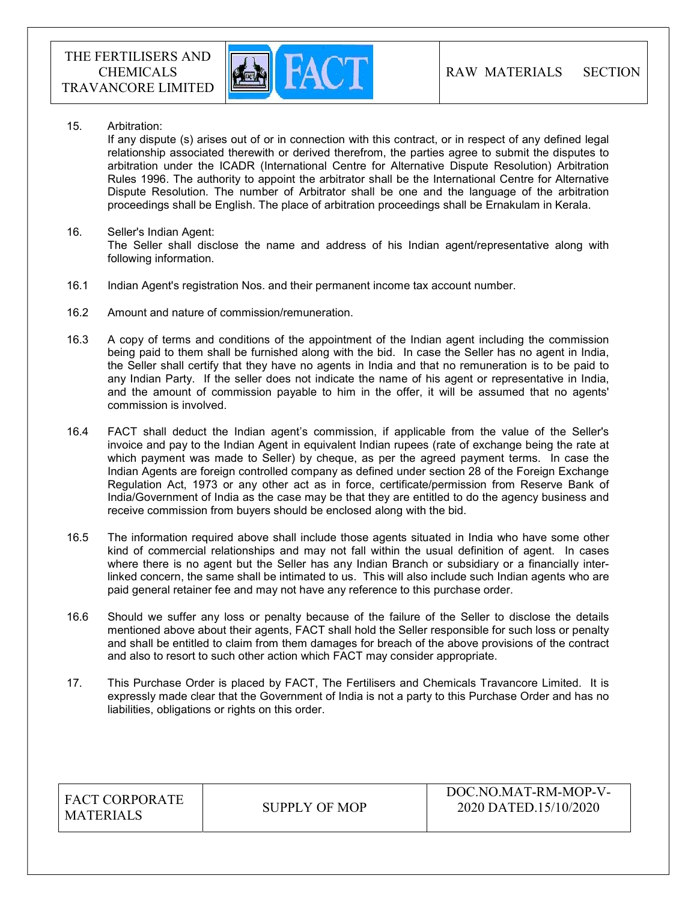

15. Arbitration:

If any dispute (s) arises out of or in connection with this contract, or in respect of any defined legal relationship associated therewith or derived therefrom, the parties agree to submit the disputes to arbitration under the ICADR (International Centre for Alternative Dispute Resolution) Arbitration Rules 1996. The authority to appoint the arbitrator shall be the International Centre for Alternative Dispute Resolution. The number of Arbitrator shall be one and the language of the arbitration proceedings shall be English. The place of arbitration proceedings shall be Ernakulam in Kerala.

- 16. Seller's Indian Agent: The Seller shall disclose the name and address of his Indian agent/representative along with following information.
- 16.1 Indian Agent's registration Nos. and their permanent income tax account number.
- 16.2 Amount and nature of commission/remuneration.
- 16.3 A copy of terms and conditions of the appointment of the Indian agent including the commission being paid to them shall be furnished along with the bid. In case the Seller has no agent in India, the Seller shall certify that they have no agents in India and that no remuneration is to be paid to any Indian Party. If the seller does not indicate the name of his agent or representative in India, and the amount of commission payable to him in the offer, it will be assumed that no agents' commission is involved.
- 16.4 FACT shall deduct the Indian agent's commission, if applicable from the value of the Seller's invoice and pay to the Indian Agent in equivalent Indian rupees (rate of exchange being the rate at which payment was made to Seller) by cheque, as per the agreed payment terms. In case the Indian Agents are foreign controlled company as defined under section 28 of the Foreign Exchange Regulation Act, 1973 or any other act as in force, certificate/permission from Reserve Bank of India/Government of India as the case may be that they are entitled to do the agency business and receive commission from buyers should be enclosed along with the bid.
- 16.5 The information required above shall include those agents situated in India who have some other kind of commercial relationships and may not fall within the usual definition of agent. In cases where there is no agent but the Seller has any Indian Branch or subsidiary or a financially interlinked concern, the same shall be intimated to us. This will also include such Indian agents who are paid general retainer fee and may not have any reference to this purchase order.
- 16.6 Should we suffer any loss or penalty because of the failure of the Seller to disclose the details mentioned above about their agents, FACT shall hold the Seller responsible for such loss or penalty and shall be entitled to claim from them damages for breach of the above provisions of the contract and also to resort to such other action which FACT may consider appropriate.
- 17. This Purchase Order is placed by FACT, The Fertilisers and Chemicals Travancore Limited. It is expressly made clear that the Government of India is not a party to this Purchase Order and has no liabilities, obligations or rights on this order.

| <b>FACT CORPORATE</b><br>SUPPLY OF MOP<br><b>MATERIALS</b> | DOC.NO.MAT-RM-MOP-V-<br>2020 DATED.15/10/2020 |
|------------------------------------------------------------|-----------------------------------------------|
|------------------------------------------------------------|-----------------------------------------------|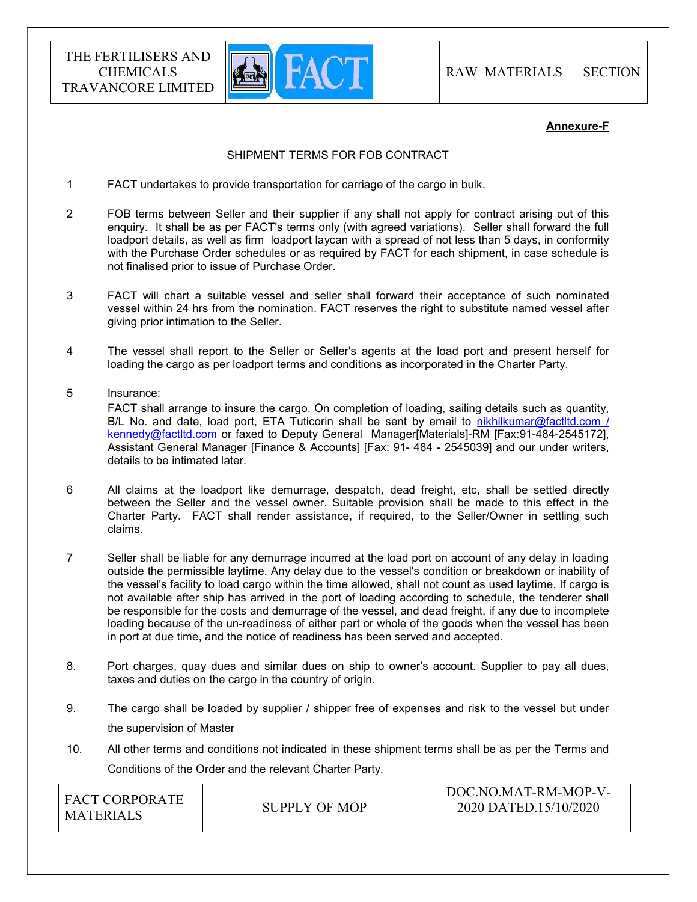

#### Annexure-F

#### SHIPMENT TERMS FOR FOB CONTRACT

- 1 FACT undertakes to provide transportation for carriage of the cargo in bulk.
- 2 FOB terms between Seller and their supplier if any shall not apply for contract arising out of this enquiry. It shall be as per FACT's terms only (with agreed variations). Seller shall forward the full loadport details, as well as firm loadport laycan with a spread of not less than 5 days, in conformity with the Purchase Order schedules or as required by FACT for each shipment, in case schedule is not finalised prior to issue of Purchase Order.
- 3 FACT will chart a suitable vessel and seller shall forward their acceptance of such nominated vessel within 24 hrs from the nomination. FACT reserves the right to substitute named vessel after giving prior intimation to the Seller.
- 4 The vessel shall report to the Seller or Seller's agents at the load port and present herself for loading the cargo as per loadport terms and conditions as incorporated in the Charter Party.
- 5 Insurance: FACT shall arrange to insure the cargo. On completion of loading, sailing details such as quantity, B/L No. and date, load port, ETA Tuticorin shall be sent by email to nikhilkumar@factltd.com / kennedy@factltd.com or faxed to Deputy General Manager[Materials]-RM [Fax:91-484-2545172], Assistant General Manager [Finance & Accounts] [Fax: 91- 484 - 2545039] and our under writers, details to be intimated later.
- 6 All claims at the loadport like demurrage, despatch, dead freight, etc, shall be settled directly between the Seller and the vessel owner. Suitable provision shall be made to this effect in the Charter Party. FACT shall render assistance, if required, to the Seller/Owner in settling such claims.
- 7 Seller shall be liable for any demurrage incurred at the load port on account of any delay in loading outside the permissible laytime. Any delay due to the vessel's condition or breakdown or inability of the vessel's facility to load cargo within the time allowed, shall not count as used laytime. If cargo is not available after ship has arrived in the port of loading according to schedule, the tenderer shall be responsible for the costs and demurrage of the vessel, and dead freight, if any due to incomplete loading because of the un-readiness of either part or whole of the goods when the vessel has been in port at due time, and the notice of readiness has been served and accepted.
- 8. Port charges, quay dues and similar dues on ship to owner's account. Supplier to pay all dues, taxes and duties on the cargo in the country of origin.
- 9. The cargo shall be loaded by supplier / shipper free of expenses and risk to the vessel but under the supervision of Master
- 10. All other terms and conditions not indicated in these shipment terms shall be as per the Terms and Conditions of the Order and the relevant Charter Party.

| <b>FACT CORPORATE</b><br>MATERIALS | SUPPLY OF MOP | DOC.NO.MAT-RM-MOP-V-<br>2020 DATED.15/10/2020 |
|------------------------------------|---------------|-----------------------------------------------|
|                                    |               |                                               |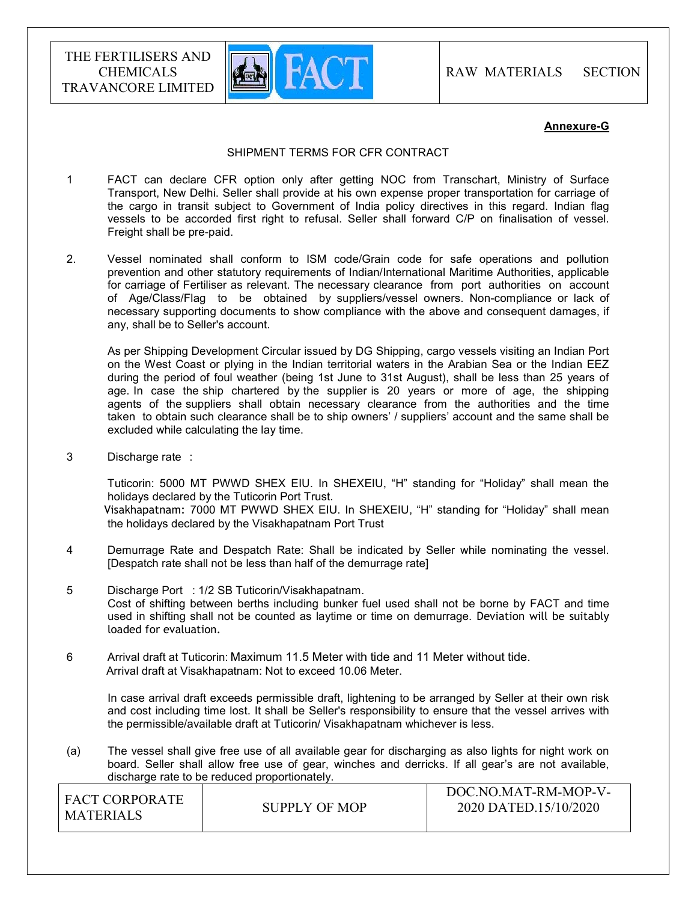

#### Annexure-G

#### SHIPMENT TERMS FOR CFR CONTRACT

- 1 FACT can declare CFR option only after getting NOC from Transchart, Ministry of Surface Transport, New Delhi. Seller shall provide at his own expense proper transportation for carriage of the cargo in transit subject to Government of India policy directives in this regard. Indian flag vessels to be accorded first right to refusal. Seller shall forward C/P on finalisation of vessel. Freight shall be pre-paid.
- 2. Vessel nominated shall conform to ISM code/Grain code for safe operations and pollution prevention and other statutory requirements of Indian/International Maritime Authorities, applicable for carriage of Fertiliser as relevant. The necessary clearance from port authorities on account of Age/Class/Flag to be obtained by suppliers/vessel owners. Non-compliance or lack of necessary supporting documents to show compliance with the above and consequent damages, if any, shall be to Seller's account.

 As per Shipping Development Circular issued by DG Shipping, cargo vessels visiting an Indian Port on the West Coast or plying in the Indian territorial waters in the Arabian Sea or the Indian EEZ during the period of foul weather (being 1st June to 31st August), shall be less than 25 years of age. In case the ship chartered by the supplier is 20 years or more of age, the shipping agents of the suppliers shall obtain necessary clearance from the authorities and the time taken to obtain such clearance shall be to ship owners' / suppliers' account and the same shall be excluded while calculating the lay time.

3 Discharge rate :

 Tuticorin: 5000 MT PWWD SHEX EIU. In SHEXEIU, "H" standing for "Holiday" shall mean the holidays declared by the Tuticorin Port Trust. Visakhapatnam: 7000 MT PWWD SHEX EIU. In SHEXEIU, "H" standing for "Holiday" shall mean the holidays declared by the Visakhapatnam Port Trust

- 4 Demurrage Rate and Despatch Rate: Shall be indicated by Seller while nominating the vessel. [Despatch rate shall not be less than half of the demurrage rate]
- 5 Discharge Port : 1/2 SB Tuticorin/Visakhapatnam. Cost of shifting between berths including bunker fuel used shall not be borne by FACT and time used in shifting shall not be counted as laytime or time on demurrage. Deviation will be suitably loaded for evaluation.
- 6 Arrival draft at Tuticorin: Maximum 11.5 Meter with tide and 11 Meter without tide. Arrival draft at Visakhapatnam: Not to exceed 10.06 Meter.

 In case arrival draft exceeds permissible draft, lightening to be arranged by Seller at their own risk and cost including time lost. It shall be Seller's responsibility to ensure that the vessel arrives with the permissible/available draft at Tuticorin/ Visakhapatnam whichever is less.

(a) The vessel shall give free use of all available gear for discharging as also lights for night work on board. Seller shall allow free use of gear, winches and derricks. If all gear's are not available, discharge rate to be reduced proportionately.

| FACT CORPORATE<br><b>MATERIALS</b> | SUPPLY OF MOP | DOC.NO.MAT-RM-MOP-V-<br>2020 DATED.15/10/2020 |
|------------------------------------|---------------|-----------------------------------------------|
|                                    |               |                                               |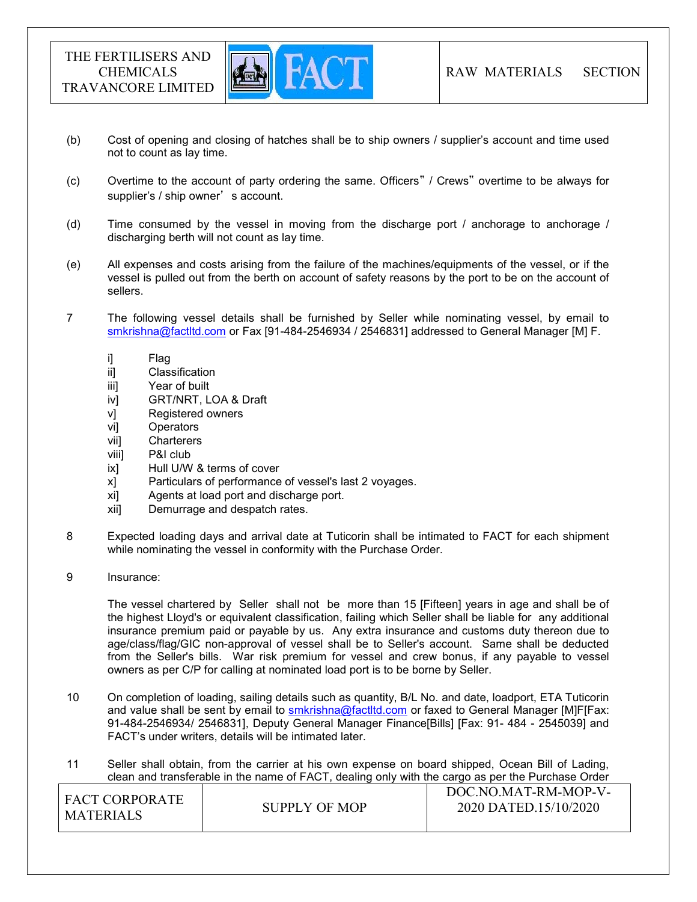

- (b) Cost of opening and closing of hatches shall be to ship owners / supplier's account and time used not to count as lay time.
- (c) Overtime to the account of party ordering the same. Officers" / Crews" overtime to be always for supplier's / ship owner's account.
- (d) Time consumed by the vessel in moving from the discharge port / anchorage to anchorage / discharging berth will not count as lay time.
- (e) All expenses and costs arising from the failure of the machines/equipments of the vessel, or if the vessel is pulled out from the berth on account of safety reasons by the port to be on the account of sellers.
- 7 The following vessel details shall be furnished by Seller while nominating vessel, by email to smkrishna@factltd.com or Fax [91-484-2546934 / 2546831] addressed to General Manager [M] F.
	- i] Flag
	- ii] Classification
	- iii] Year of built
	- iv] GRT/NRT, LOA & Draft
	- v] Registered owners
	- vi] Operators
	- vii] Charterers
	- viii] P&I club
	- ix] Hull U/W & terms of cover
	- x] Particulars of performance of vessel's last 2 voyages.
	- xi] Agents at load port and discharge port.
	- xii] Demurrage and despatch rates.
- 8 Expected loading days and arrival date at Tuticorin shall be intimated to FACT for each shipment while nominating the vessel in conformity with the Purchase Order.
- 9 Insurance:

 The vessel chartered by Seller shall not be more than 15 [Fifteen] years in age and shall be of the highest Lloyd's or equivalent classification, failing which Seller shall be liable for any additional insurance premium paid or payable by us. Any extra insurance and customs duty thereon due to age/class/flag/GIC non-approval of vessel shall be to Seller's account. Same shall be deducted from the Seller's bills. War risk premium for vessel and crew bonus, if any payable to vessel owners as per C/P for calling at nominated load port is to be borne by Seller.

- 10 On completion of loading, sailing details such as quantity, B/L No. and date, loadport, ETA Tuticorin and value shall be sent by email to smkrishna@factltd.com or faxed to General Manager [M]F[Fax: 91-484-2546934/ 2546831], Deputy General Manager Finance[Bills] [Fax: 91- 484 - 2545039] and FACT's under writers, details will be intimated later.
- 11 Seller shall obtain, from the carrier at his own expense on board shipped, Ocean Bill of Lading, clean and transferable in the name of FACT, dealing only with the cargo as per the Purchase Order

| I FACT CORPORATE<br>MATERIALS | <b>SUPPLY OF MOP</b> | DOC.NO.MAT-RM-MOP-V-<br>2020 DATED.15/10/2020 |
|-------------------------------|----------------------|-----------------------------------------------|
|                               |                      |                                               |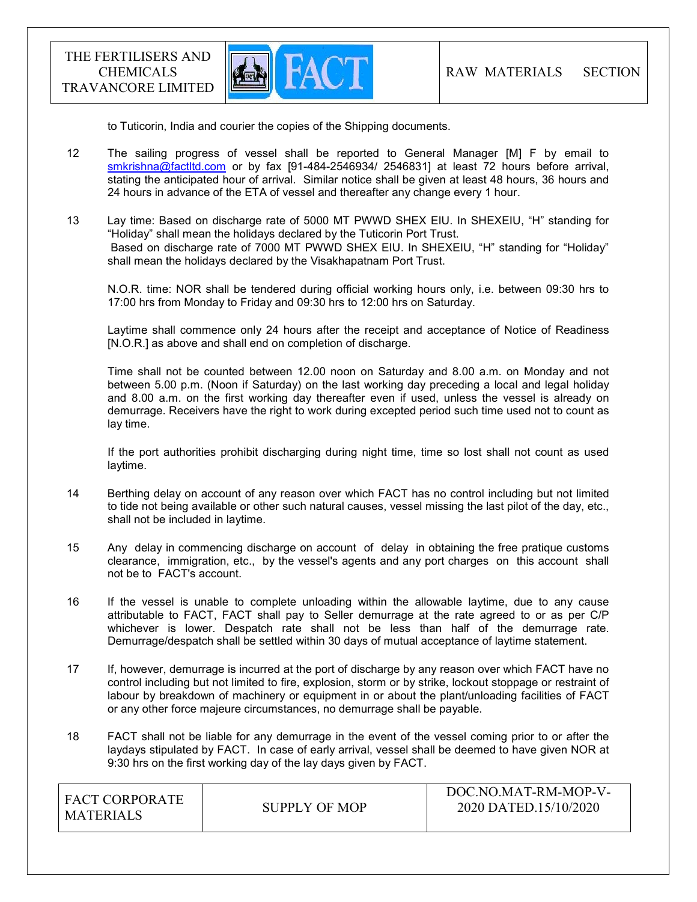

to Tuticorin, India and courier the copies of the Shipping documents.

- 12 The sailing progress of vessel shall be reported to General Manager [M] F by email to smkrishna@factltd.com or by fax [91-484-2546934/ 2546831] at least 72 hours before arrival, stating the anticipated hour of arrival. Similar notice shall be given at least 48 hours, 36 hours and 24 hours in advance of the ETA of vessel and thereafter any change every 1 hour.
- 13 Lay time: Based on discharge rate of 5000 MT PWWD SHEX EIU. In SHEXEIU, "H" standing for "Holiday" shall mean the holidays declared by the Tuticorin Port Trust. Based on discharge rate of 7000 MT PWWD SHEX EIU. In SHEXEIU, "H" standing for "Holiday" shall mean the holidays declared by the Visakhapatnam Port Trust.

 N.O.R. time: NOR shall be tendered during official working hours only, i.e. between 09:30 hrs to 17:00 hrs from Monday to Friday and 09:30 hrs to 12:00 hrs on Saturday.

 Laytime shall commence only 24 hours after the receipt and acceptance of Notice of Readiness [N.O.R.] as above and shall end on completion of discharge.

 Time shall not be counted between 12.00 noon on Saturday and 8.00 a.m. on Monday and not between 5.00 p.m. (Noon if Saturday) on the last working day preceding a local and legal holiday and 8.00 a.m. on the first working day thereafter even if used, unless the vessel is already on demurrage. Receivers have the right to work during excepted period such time used not to count as lay time.

 If the port authorities prohibit discharging during night time, time so lost shall not count as used laytime.

- 14 Berthing delay on account of any reason over which FACT has no control including but not limited to tide not being available or other such natural causes, vessel missing the last pilot of the day, etc., shall not be included in laytime.
- 15 Any delay in commencing discharge on account of delay in obtaining the free pratique customs clearance, immigration, etc., by the vessel's agents and any port charges on this account shall not be to FACT's account.
- 16 If the vessel is unable to complete unloading within the allowable laytime, due to any cause attributable to FACT, FACT shall pay to Seller demurrage at the rate agreed to or as per C/P whichever is lower. Despatch rate shall not be less than half of the demurrage rate. Demurrage/despatch shall be settled within 30 days of mutual acceptance of laytime statement.
- 17 If, however, demurrage is incurred at the port of discharge by any reason over which FACT have no control including but not limited to fire, explosion, storm or by strike, lockout stoppage or restraint of labour by breakdown of machinery or equipment in or about the plant/unloading facilities of FACT or any other force majeure circumstances, no demurrage shall be payable.
- 18 FACT shall not be liable for any demurrage in the event of the vessel coming prior to or after the laydays stipulated by FACT. In case of early arrival, vessel shall be deemed to have given NOR at 9:30 hrs on the first working day of the lay days given by FACT.

| I FACT CORPORATE<br>' MATERIALS | SUPPLY OF MOP | DOC.NO.MAT-RM-MOP-V-<br>2020 DATED.15/10/2020 |
|---------------------------------|---------------|-----------------------------------------------|
|                                 |               |                                               |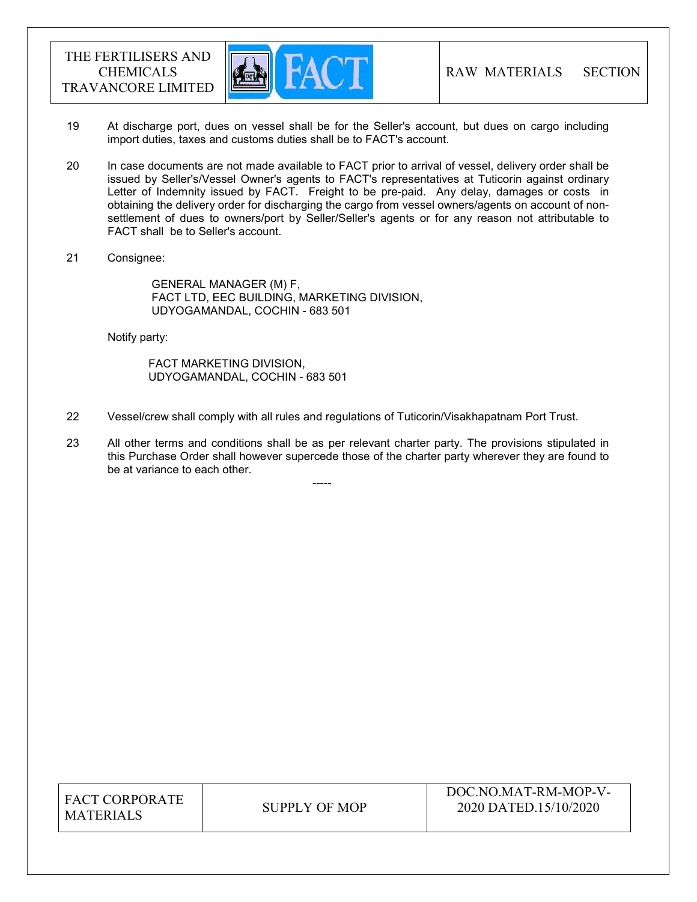

- 19 At discharge port, dues on vessel shall be for the Seller's account, but dues on cargo including import duties, taxes and customs duties shall be to FACT's account.
- 20 In case documents are not made available to FACT prior to arrival of vessel, delivery order shall be issued by Seller's/Vessel Owner's agents to FACT's representatives at Tuticorin against ordinary Letter of Indemnity issued by FACT. Freight to be pre-paid. Any delay, damages or costs in obtaining the delivery order for discharging the cargo from vessel owners/agents on account of nonsettlement of dues to owners/port by Seller/Seller's agents or for any reason not attributable to FACT shall be to Seller's account.
- 21 Consignee:

 GENERAL MANAGER (M) F, FACT LTD, EEC BUILDING, MARKETING DIVISION, UDYOGAMANDAL, COCHIN - 683 501

Notify party:

 FACT MARKETING DIVISION, UDYOGAMANDAL, COCHIN - 683 501

-----

- 22 Vessel/crew shall comply with all rules and regulations of Tuticorin/Visakhapatnam Port Trust.
- 23 All other terms and conditions shall be as per relevant charter party. The provisions stipulated in this Purchase Order shall however supercede those of the charter party wherever they are found to be at variance to each other.

FACT CORPORATE MATERIALS SUPPLY OF MOP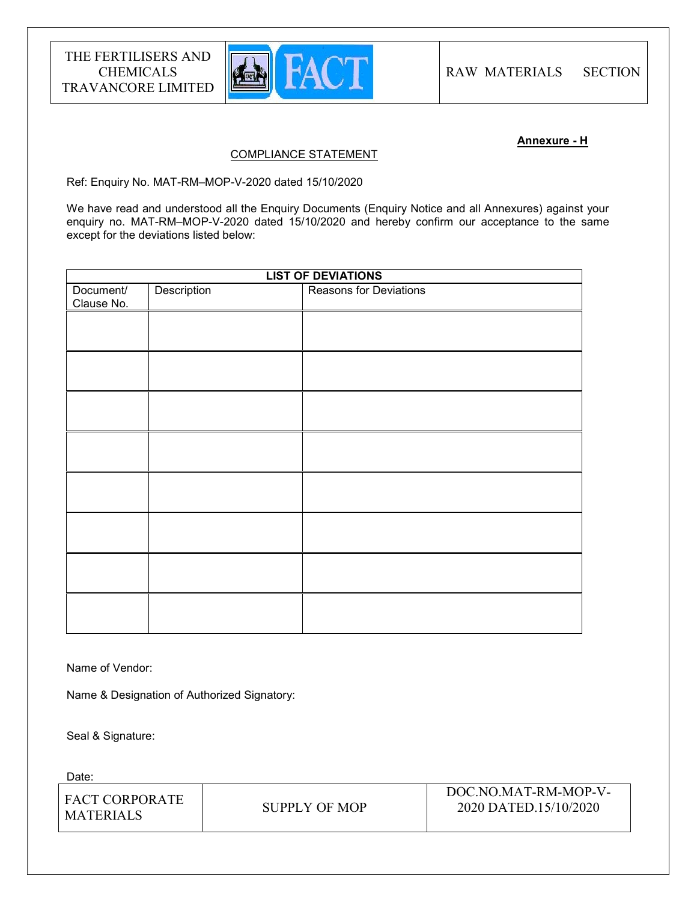

## Annexure - H

#### COMPLIANCE STATEMENT

Ref: Enquiry No. MAT-RM–MOP-V-2020 dated 15/10/2020

We have read and understood all the Enquiry Documents (Enquiry Notice and all Annexures) against your enquiry no. MAT-RM–MOP-V-2020 dated 15/10/2020 and hereby confirm our acceptance to the same except for the deviations listed below:

| <b>LIST OF DEVIATIONS</b> |             |                        |
|---------------------------|-------------|------------------------|
| Document/<br>Clause No.   | Description | Reasons for Deviations |
|                           |             |                        |
|                           |             |                        |
|                           |             |                        |
|                           |             |                        |
|                           |             |                        |
|                           |             |                        |
|                           |             |                        |
|                           |             |                        |
|                           |             |                        |

Name of Vendor:

Name & Designation of Authorized Signatory:

Seal & Signature:

Date:

| I FACT CORPORATE<br><b>MATERIALS</b> | SUPPLY OF MOP | DOC.NO.MAT-RM-MOP-V-<br>2020 DATED.15/10/2020 |
|--------------------------------------|---------------|-----------------------------------------------|
|                                      |               |                                               |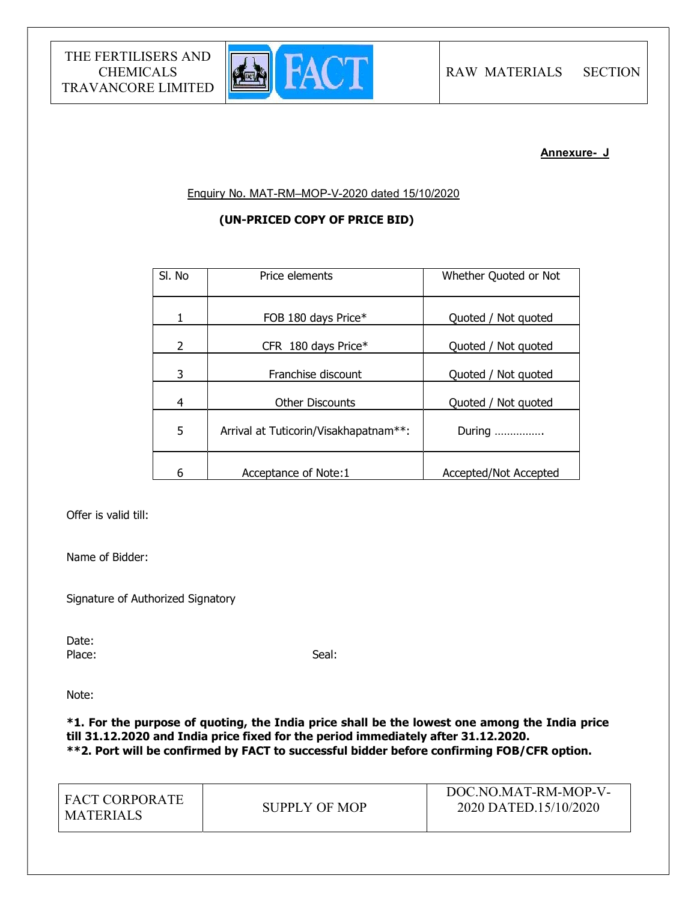

## Annexure- J

Enquiry No. MAT-RM–MOP-V-2020 dated 15/10/2020

# (UN-PRICED COPY OF PRICE BID)

| SI. No | Price elements                        | Whether Quoted or Not |
|--------|---------------------------------------|-----------------------|
| 1      | FOB 180 days Price*                   | Quoted / Not quoted   |
| 2      | CFR 180 days Price*                   | Quoted / Not quoted   |
| 3      | Franchise discount                    | Quoted / Not quoted   |
| 4      | <b>Other Discounts</b>                | Quoted / Not quoted   |
| 5      | Arrival at Tuticorin/Visakhapatnam**: | During                |
| 6      | Acceptance of Note:1                  | Accepted/Not Accepted |

Offer is valid till:

Name of Bidder:

Signature of Authorized Signatory

Date:<br>Place: Place: Seal: Seal: Seal: Seal: Seal: Seal: Seal: Seal: Seal: Seal: Seal: Seal: Seal: Seal: Seal: Seal: Seal: Seal: Seal: Seal: Seal: Seal: Seal: Seal: Seal: Seal: Seal: Seal: Seal: Seal: Seal: Seal: Seal: Seal: Seal: Seal:

Note:

\*1. For the purpose of quoting, the India price shall be the lowest one among the India price till 31.12.2020 and India price fixed for the period immediately after 31.12.2020. \*\*2. Port will be confirmed by FACT to successful bidder before confirming FOB/CFR option.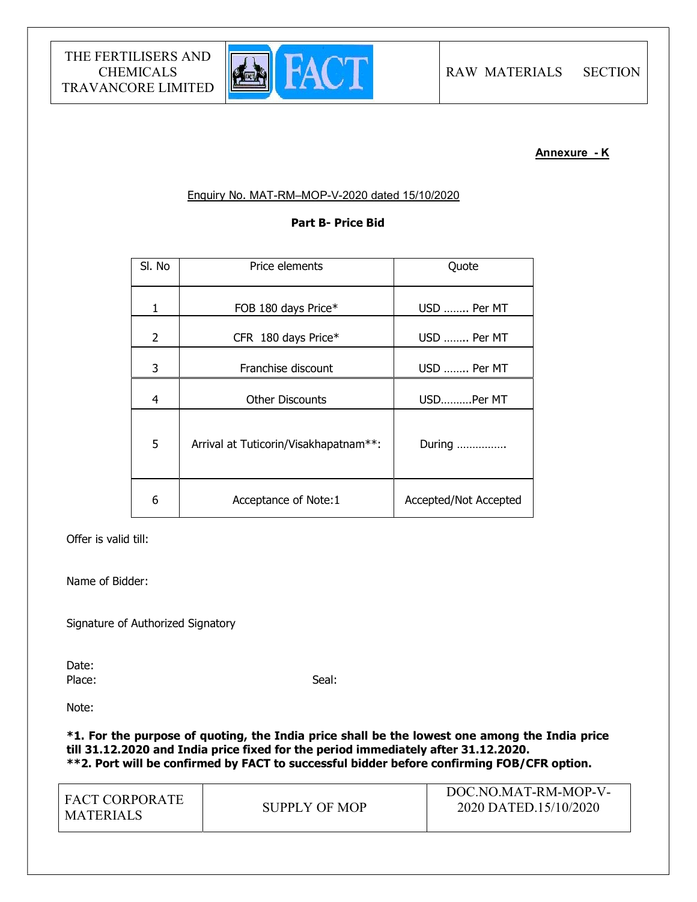

# Annexure - K

# Enquiry No. MAT-RM–MOP-V-2020 dated 15/10/2020

# Part B- Price Bid

| SI. No | Price elements                        | Quote                 |
|--------|---------------------------------------|-----------------------|
| 1      | FOB 180 days Price*                   | USD  Per MT           |
| 2      | CFR 180 days Price*                   | USD  Per MT           |
| 3      | Franchise discount                    | USD  Per MT           |
| 4      | <b>Other Discounts</b>                | USDPer MT             |
| 5      | Arrival at Tuticorin/Visakhapatnam**: | During                |
| 6      | Acceptance of Note:1                  | Accepted/Not Accepted |

Offer is valid till:

Name of Bidder:

Signature of Authorized Signatory

Date: Place: Seal: Seal: Seal: Seal: Seal: Seal: Seal: Seal: Seal: Seal: Seal: Seal: Seal: Seal: Seal: Seal: Seal: Seal: Seal: Seal: Seal: Seal: Seal: Seal: Seal: Seal: Seal: Seal: Seal: Seal: Seal: Seal: Seal: Seal: Seal: Seal:

Note:

\*1. For the purpose of quoting, the India price shall be the lowest one among the India price till 31.12.2020 and India price fixed for the period immediately after 31.12.2020. \*\*2. Port will be confirmed by FACT to successful bidder before confirming FOB/CFR option.

| <b>FACT CORPORATE</b><br><b>MATERIALS</b> | SUPPLY OF MOP | DOC.NO.MAT-RM-MOP-V-<br>2020 DATED.15/10/2020 |
|-------------------------------------------|---------------|-----------------------------------------------|
|-------------------------------------------|---------------|-----------------------------------------------|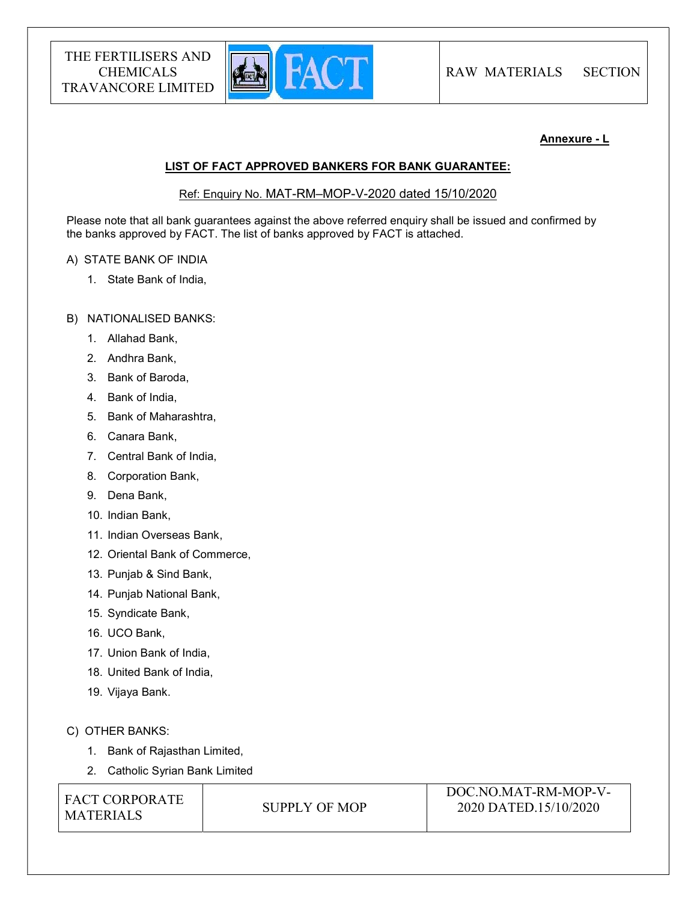

## Annexure - L

#### LIST OF FACT APPROVED BANKERS FOR BANK GUARANTEE:

Ref: Enquiry No. MAT-RM–MOP-V-2020 dated 15/10/2020

Please note that all bank guarantees against the above referred enquiry shall be issued and confirmed by the banks approved by FACT. The list of banks approved by FACT is attached.

## A) STATE BANK OF INDIA

1. State Bank of India,

## B) NATIONALISED BANKS:

- 1. Allahad Bank,
- 2. Andhra Bank,
- 3. Bank of Baroda,
- 4. Bank of India,
- 5. Bank of Maharashtra,
- 6. Canara Bank,
- 7. Central Bank of India,
- 8. Corporation Bank,
- 9. Dena Bank,
- 10. Indian Bank,
- 11. Indian Overseas Bank,
- 12. Oriental Bank of Commerce,
- 13. Punjab & Sind Bank,
- 14. Punjab National Bank,
- 15. Syndicate Bank,
- 16. UCO Bank,
- 17. Union Bank of India,
- 18. United Bank of India,
- 19. Vijaya Bank.

# C) OTHER BANKS:

- 1. Bank of Rajasthan Limited,
- 2. Catholic Syrian Bank Limited

FACT CORPORATE MATERIALS SUPPLY OF MOP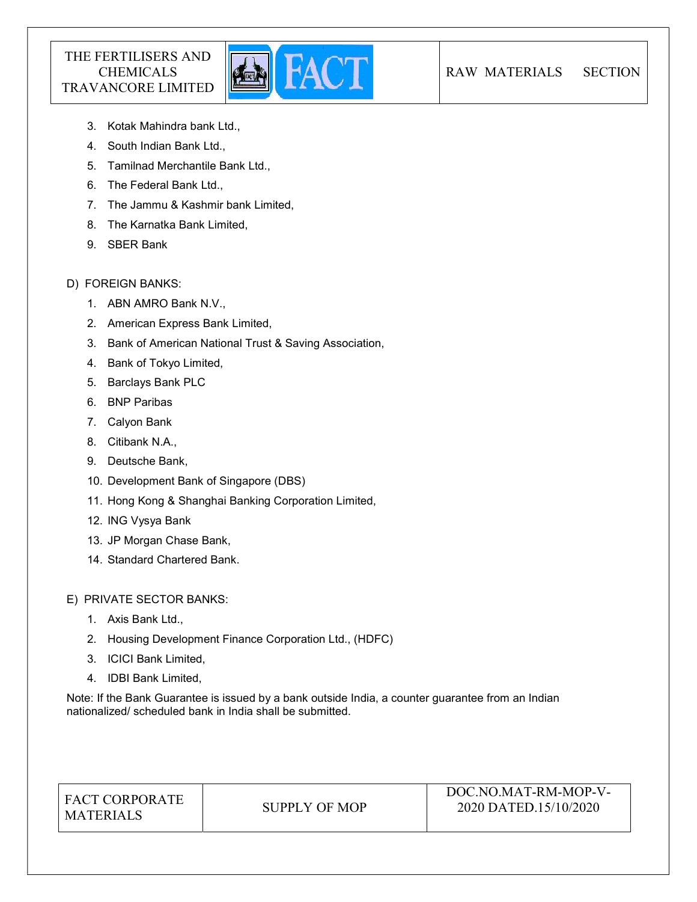

- 3. Kotak Mahindra bank Ltd.,
- 4. South Indian Bank Ltd.,
- 5. Tamilnad Merchantile Bank Ltd.,
- 6. The Federal Bank Ltd.,
- 7. The Jammu & Kashmir bank Limited,
- 8. The Karnatka Bank Limited,
- 9. SBER Bank

# D) FOREIGN BANKS:

- 1. ABN AMRO Bank N.V.,
- 2. American Express Bank Limited,
- 3. Bank of American National Trust & Saving Association,
- 4. Bank of Tokyo Limited,
- 5. Barclays Bank PLC
- 6. BNP Paribas
- 7. Calyon Bank
- 8. Citibank N.A.,
- 9. Deutsche Bank,
- 10. Development Bank of Singapore (DBS)
- 11. Hong Kong & Shanghai Banking Corporation Limited,
- 12. ING Vysya Bank
- 13. JP Morgan Chase Bank,
- 14. Standard Chartered Bank.

E) PRIVATE SECTOR BANKS:

- 1. Axis Bank Ltd.,
- 2. Housing Development Finance Corporation Ltd., (HDFC)
- 3. ICICI Bank Limited,
- 4. IDBI Bank Limited,

Note: If the Bank Guarantee is issued by a bank outside India, a counter guarantee from an Indian nationalized/ scheduled bank in India shall be submitted.

| <b>FACT CORPORATE</b> |
|-----------------------|
| <b>MATERIALS</b>      |

SUPPLY OF MOP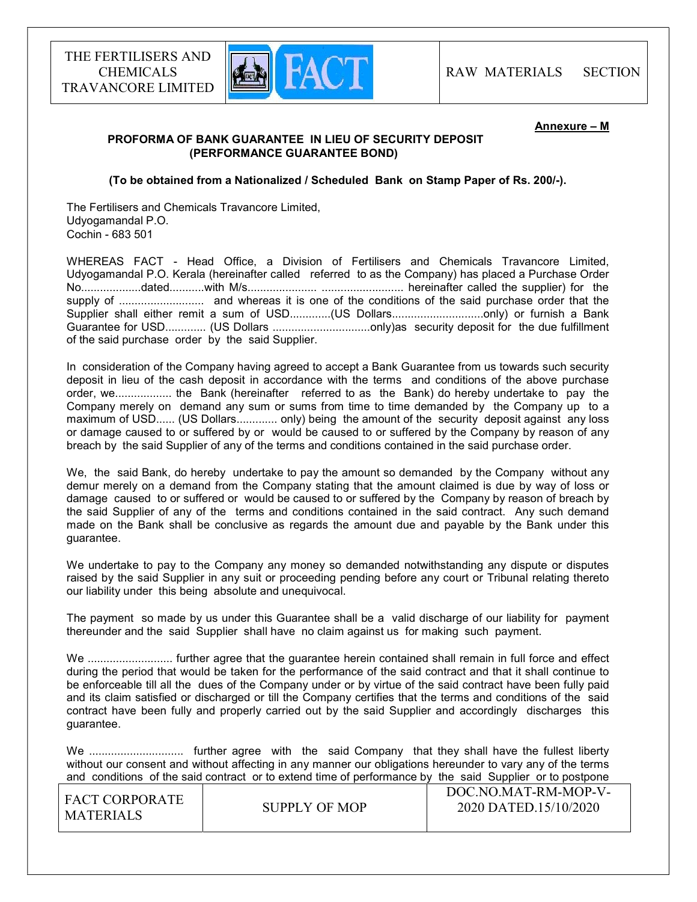

#### Annexure – M

# PROFORMA OF BANK GUARANTEE IN LIEU OF SECURITY DEPOSIT (PERFORMANCE GUARANTEE BOND)

(To be obtained from a Nationalized / Scheduled Bank on Stamp Paper of Rs. 200/-).

The Fertilisers and Chemicals Travancore Limited, Udyogamandal P.O. Cochin - 683 501

WHEREAS FACT - Head Office, a Division of Fertilisers and Chemicals Travancore Limited, Udyogamandal P.O. Kerala (hereinafter called referred to as the Company) has placed a Purchase Order No...................dated...........with M/s...................... .......................... hereinafter called the supplier) for the supply of ........................... and whereas it is one of the conditions of the said purchase order that the Supplier shall either remit a sum of USD.............(US Dollars.............................only) or furnish a Bank Guarantee for USD............. (US Dollars ...............................only)as security deposit for the due fulfillment of the said purchase order by the said Supplier.

In consideration of the Company having agreed to accept a Bank Guarantee from us towards such security deposit in lieu of the cash deposit in accordance with the terms and conditions of the above purchase order, we.................. the Bank (hereinafter referred to as the Bank) do hereby undertake to pay the Company merely on demand any sum or sums from time to time demanded by the Company up to a maximum of USD...... (US Dollars............. only) being the amount of the security deposit against any loss or damage caused to or suffered by or would be caused to or suffered by the Company by reason of any breach by the said Supplier of any of the terms and conditions contained in the said purchase order.

We, the said Bank, do hereby undertake to pay the amount so demanded by the Company without any demur merely on a demand from the Company stating that the amount claimed is due by way of loss or damage caused to or suffered or would be caused to or suffered by the Company by reason of breach by the said Supplier of any of the terms and conditions contained in the said contract. Any such demand made on the Bank shall be conclusive as regards the amount due and payable by the Bank under this guarantee.

We undertake to pay to the Company any money so demanded notwithstanding any dispute or disputes raised by the said Supplier in any suit or proceeding pending before any court or Tribunal relating thereto our liability under this being absolute and unequivocal.

The payment so made by us under this Guarantee shall be a valid discharge of our liability for payment thereunder and the said Supplier shall have no claim against us for making such payment.

We ............................... further agree that the quarantee herein contained shall remain in full force and effect during the period that would be taken for the performance of the said contract and that it shall continue to be enforceable till all the dues of the Company under or by virtue of the said contract have been fully paid and its claim satisfied or discharged or till the Company certifies that the terms and conditions of the said contract have been fully and properly carried out by the said Supplier and accordingly discharges this guarantee.

We .............................. further agree with the said Company that they shall have the fullest liberty without our consent and without affecting in any manner our obligations hereunder to vary any of the terms and conditions of the said contract or to extend time of performance by the said Supplier or to postpone

| ' FACT CORPORATE_<br>MATERIALS | SUPPLY OF MOP | DOC.NO.MAT-RM-MOP-V-<br>2020 DATED.15/10/2020 |
|--------------------------------|---------------|-----------------------------------------------|
|                                |               |                                               |